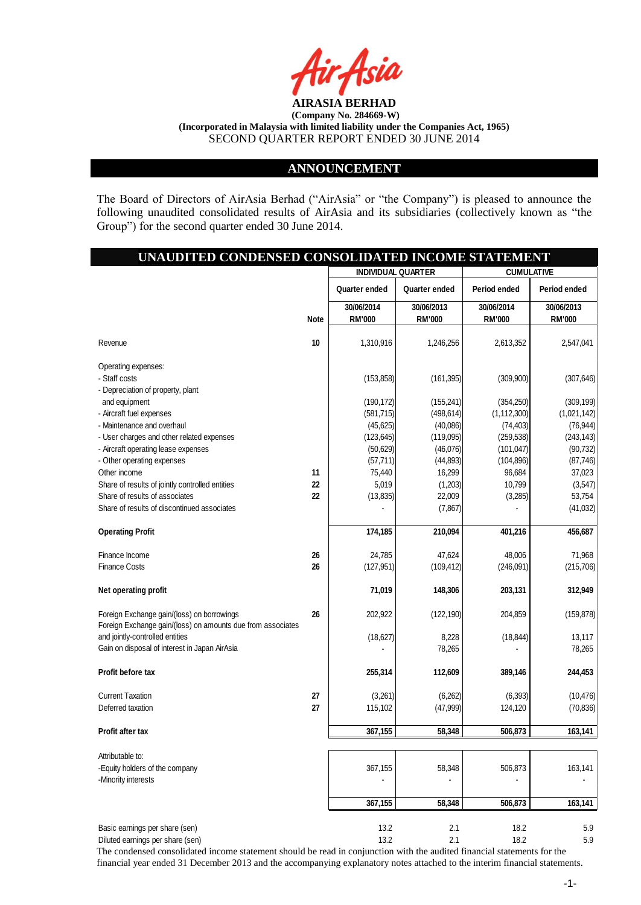

### **ANNOUNCEMENT**

The Board of Directors of AirAsia Berhad ("AirAsia" or "the Company") is pleased to announce the following unaudited consolidated results of AirAsia and its subsidiaries (collectively known as "the Group") for the second quarter ended 30 June 2014.

| UNAUDITED CONDENSED CONSOLIDATED INCOME STATEMENT                             |             |                           |               |                     |                        |
|-------------------------------------------------------------------------------|-------------|---------------------------|---------------|---------------------|------------------------|
|                                                                               |             | <b>INDIVIDUAL QUARTER</b> |               | <b>CUMULATIVE</b>   |                        |
|                                                                               |             | Quarter ended             | Quarter ended | Period ended        | Period ended           |
|                                                                               |             | 30/06/2014                | 30/06/2013    | 30/06/2014          | 30/06/2013             |
|                                                                               | <b>Note</b> | <b>RM'000</b>             | <b>RM'000</b> | <b>RM'000</b>       | <b>RM'000</b>          |
| Revenue                                                                       | 10          | 1,310,916                 | 1,246,256     | 2,613,352           | 2,547,041              |
| Operating expenses:                                                           |             |                           |               |                     |                        |
| - Staff costs                                                                 |             | (153, 858)                | (161, 395)    | (309, 900)          | (307, 646)             |
| - Depreciation of property, plant                                             |             |                           |               |                     |                        |
| and equipment                                                                 |             | (190, 172)                | (155, 241)    | (354, 250)          | (309, 199)             |
| - Aircraft fuel expenses                                                      |             | (581, 715)                | (498, 614)    | (1, 112, 300)       | (1,021,142)            |
| - Maintenance and overhaul                                                    |             | (45, 625)                 | (40,086)      | (74, 403)           | (76, 944)              |
| - User charges and other related expenses                                     |             | (123, 645)                | (119,095)     | (259, 538)          | (243, 143)             |
| - Aircraft operating lease expenses                                           |             | (50, 629)                 | (46,076)      | (101, 047)          | (90, 732)              |
| - Other operating expenses                                                    |             | (57, 711)                 | (44, 893)     | (104, 896)          | (87, 746)              |
| Other income                                                                  | 11          | 75,440                    | 16,299        | 96,684              | 37,023                 |
| Share of results of jointly controlled entities                               | 22          | 5,019                     | (1,203)       | 10,799              | (3, 547)               |
| Share of results of associates<br>Share of results of discontinued associates | 22          | (13, 835)                 | 22,009        | (3,285)             | 53,754                 |
|                                                                               |             |                           | (7, 867)      |                     | (41, 032)              |
| <b>Operating Profit</b>                                                       |             | 174,185                   | 210,094       | 401,216             | 456,687                |
| Finance Income                                                                | 26          | 24,785                    | 47,624        | 48.006              | 71,968                 |
| <b>Finance Costs</b>                                                          | 26          | (127, 951)                | (109, 412)    | (246,091)           | (215, 706)             |
| Net operating profit                                                          |             | 71,019                    | 148,306       | 203,131             | 312,949                |
| Foreign Exchange gain/(loss) on borrowings                                    | 26          | 202,922                   | (122, 190)    | 204,859             | (159, 878)             |
| Foreign Exchange gain/(loss) on amounts due from associates                   |             |                           |               |                     |                        |
| and jointly-controlled entities                                               |             | (18, 627)                 | 8,228         | (18, 844)           | 13,117                 |
| Gain on disposal of interest in Japan AirAsia                                 |             |                           | 78,265        |                     | 78,265                 |
| Profit before tax                                                             |             | 255,314                   | 112,609       | 389,146             | 244,453                |
| <b>Current Taxation</b>                                                       | 27          | (3,261)                   |               |                     |                        |
| Deferred taxation                                                             | 27          |                           | (6, 262)      | (6, 393)<br>124,120 | (10, 476)<br>(70, 836) |
|                                                                               |             | 115,102                   | (47, 999)     |                     |                        |
| Profit after tax                                                              |             | 367,155                   | 58,348        | 506,873             | 163,141                |
| Attributable to:                                                              |             |                           |               |                     |                        |
| -Equity holders of the company                                                |             | 367,155                   | 58,348        | 506,873             | 163,141                |
| -Minority interests                                                           |             |                           |               |                     |                        |
|                                                                               |             |                           |               |                     |                        |
|                                                                               |             | 367,155                   | 58,348        | 506,873             | 163,141                |
|                                                                               |             |                           |               |                     |                        |
| Basic earnings per share (sen)<br>Diluted earnings per share (sen)            |             | 13.2<br>13.2              | 2.1<br>2.1    | 18.2<br>18.2        | 5.9<br>5.9             |
|                                                                               |             |                           |               |                     |                        |

The condensed consolidated income statement should be read in conjunction with the audited financial statements for the financial year ended 31 December 2013 and the accompanying explanatory notes attached to the interim financial statements.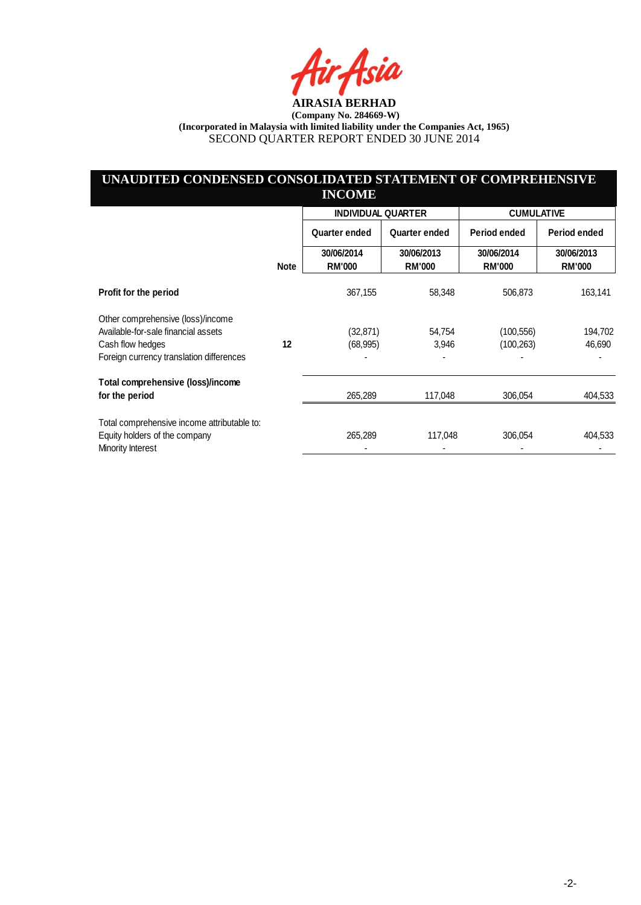4 sia

## **UNAUDITED CONDENSED CONSOLIDATED STATEMENT OF COMPREHENSIVE INCOME**

|                                                    |             | <b>INDIVIDUAL QUARTER</b>   |                             | <b>CUMULATIVE</b>           |                             |
|----------------------------------------------------|-------------|-----------------------------|-----------------------------|-----------------------------|-----------------------------|
|                                                    |             | Quarter ended               | Quarter ended               | Period ended                | Period ended                |
|                                                    | <b>Note</b> | 30/06/2014<br><b>RM'000</b> | 30/06/2013<br><b>RM'000</b> | 30/06/2014<br><b>RM'000</b> | 30/06/2013<br><b>RM'000</b> |
| Profit for the period                              |             | 367,155                     | 58,348                      | 506,873                     | 163,141                     |
| Other comprehensive (loss)/income                  |             |                             |                             |                             |                             |
| Available-for-sale financial assets                |             | (32, 871)                   | 54,754                      | (100, 556)                  | 194,702                     |
| Cash flow hedges                                   | 12          | (68, 995)                   | 3,946                       | (100, 263)                  | 46,690                      |
| Foreign currency translation differences           |             |                             |                             |                             |                             |
| Total comprehensive (loss)/income                  |             |                             |                             |                             |                             |
| for the period                                     |             | 265,289                     | 117,048                     | 306,054                     | 404,533                     |
| Total comprehensive income attributable to:        |             |                             |                             |                             |                             |
| Equity holders of the company<br>Minority Interest |             | 265,289                     | 117,048                     | 306,054                     | 404,533                     |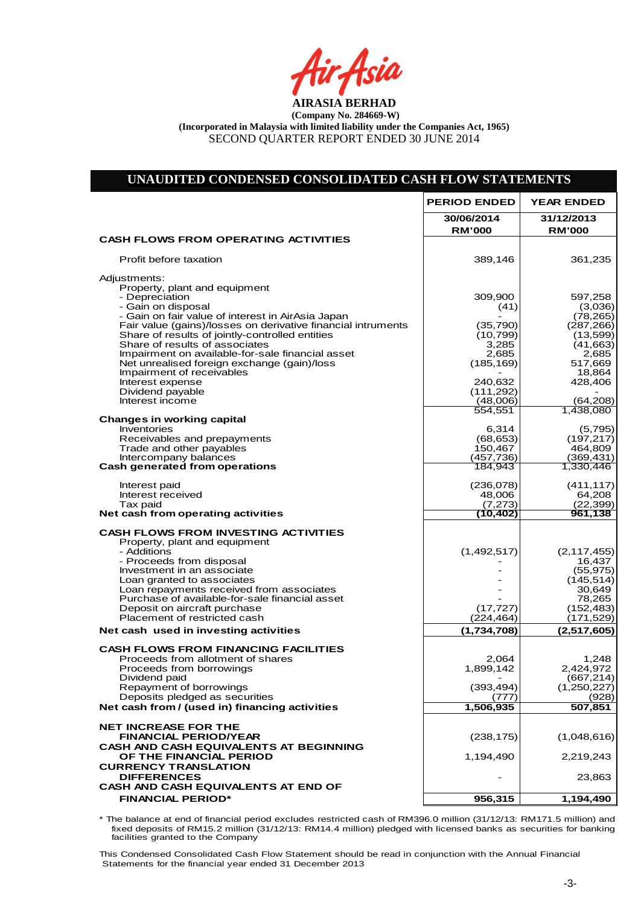Air Asia

#### **UNAUDITED CONDENSED CONSOLIDATED CASH FLOW STATEMENTS**

|                                                                                                                                                                                                                                                                                                                                                                                                    | <b>PERIOD ENDED</b>                                                       | <b>YEAR ENDED</b>                                                                                                 |
|----------------------------------------------------------------------------------------------------------------------------------------------------------------------------------------------------------------------------------------------------------------------------------------------------------------------------------------------------------------------------------------------------|---------------------------------------------------------------------------|-------------------------------------------------------------------------------------------------------------------|
|                                                                                                                                                                                                                                                                                                                                                                                                    | 30/06/2014<br><b>RM'000</b>                                               | 31/12/2013<br><b>RM'000</b>                                                                                       |
| <b>CASH FLOWS FROM OPERATING ACTIVITIES</b>                                                                                                                                                                                                                                                                                                                                                        |                                                                           |                                                                                                                   |
| Profit before taxation                                                                                                                                                                                                                                                                                                                                                                             | 389,146                                                                   | 361,235                                                                                                           |
| Adjustments:<br>Property, plant and equipment<br>- Depreciation<br>- Gain on disposal<br>- Gain on fair value of interest in AirAsia Japan<br>Fair value (gains)/losses on derivative financial intruments<br>Share of results of jointly-controlled entities<br>Share of results of associates<br>Impairment on available-for-sale financial asset<br>Net unrealised foreign exchange (gain)/loss | 309,900<br>(41)<br>(35, 790)<br>(10, 799)<br>3,285<br>2,685<br>(185, 169) | 597,258<br>(3,036)<br>(78, 265)<br>(287, 266)<br>(13,599)<br>(41,663)<br>2,685<br>517,669                         |
| Impairment of receivables<br>Interest expense<br>Dividend payable<br>Interest income                                                                                                                                                                                                                                                                                                               | 240,632<br>(111, 292)<br>(48,006)                                         | 18,864<br>428,406<br>(64, 208)                                                                                    |
| <b>Changes in working capital</b><br><b>Inventories</b><br>Receivables and prepayments<br>Trade and other payables<br>Intercompany balances<br>Cash generated from operations                                                                                                                                                                                                                      | 554,551<br>6,314<br>(68, 653)<br>150,467<br>(457, 736)<br>184,943         | 1,438,080<br>(5,795)<br>(197, 217)<br>464,809<br>(369, 431)<br>1,330,446                                          |
| Interest paid<br>Interest received<br>Tax paid<br>Net cash from operating activities                                                                                                                                                                                                                                                                                                               | (236,078)<br>48,006<br>(7, 273)<br>(10,402)                               | (411, 117)<br>64,208<br>(22, 399)<br>961,138                                                                      |
| <b>CASH FLOWS FROM INVESTING ACTIVITIES</b><br>Property, plant and equipment<br>- Additions<br>- Proceeds from disposal<br>Investment in an associate<br>Loan granted to associates<br>Loan repayments received from associates<br>Purchase of available-for-sale financial asset<br>Deposit on aircraft purchase<br>Placement of restricted cash<br>Net cash used in investing activities         | (1,492,517)<br>(17,727)<br>(224, 464)<br>(1,734,708)                      | (2, 117, 455)<br>16,437<br>(55, 975)<br>(145, 514)<br>30,649<br>78,265<br>(152, 483)<br>(171, 529)<br>(2,517,605) |
|                                                                                                                                                                                                                                                                                                                                                                                                    |                                                                           |                                                                                                                   |
| <b>CASH FLOWS FROM FINANCING FACILITIES</b><br>Proceeds from allotment of shares<br>Proceeds from borrowings<br>Dividend paid<br>Repayment of borrowings<br>Deposits pledged as securities                                                                                                                                                                                                         | 2,064<br>1,899,142<br>(393, 494)<br>(777)                                 | 1,248<br>2,424,972<br>(667, 214)<br>(1,250,227)<br>(928)                                                          |
| Net cash from / (used in) financing activities                                                                                                                                                                                                                                                                                                                                                     | 1.506.935                                                                 | 507,851                                                                                                           |
| <b>NET INCREASE FOR THE</b><br><b>FINANCIAL PERIOD/YEAR</b><br><b>CASH AND CASH EQUIVALENTS AT BEGINNING</b><br>OF THE FINANCIAL PERIOD<br><b>CURRENCY TRANSLATION</b>                                                                                                                                                                                                                             | (238, 175)<br>1,194,490                                                   | (1,048,616)<br>2,219,243                                                                                          |
| <b>DIFFERENCES</b><br>CASH AND CASH EQUIVALENTS AT END OF                                                                                                                                                                                                                                                                                                                                          |                                                                           | 23,863                                                                                                            |
| <b>FINANCIAL PERIOD*</b>                                                                                                                                                                                                                                                                                                                                                                           | 956,315                                                                   | 1,194,490                                                                                                         |

Net Cash Flow (238,175) (1,024,175) (1,024,1753) (1,024,175) (1,024,1753) (1,024,1753) (1,024,1753) \* The balance at end of financial period excludes restricted cash of RM396.0 million (31/12/13: RM171.5 million) and fixed deposits of RM15.2 million (31/12/13: RM14.4 million) pledged with licensed banks as securities for banking facilities granted to the Company

This Condensed Consolidated Cash Flow Statement should be read in conjunction with the Annual Financial Statements for the financial year ended 31 December 2013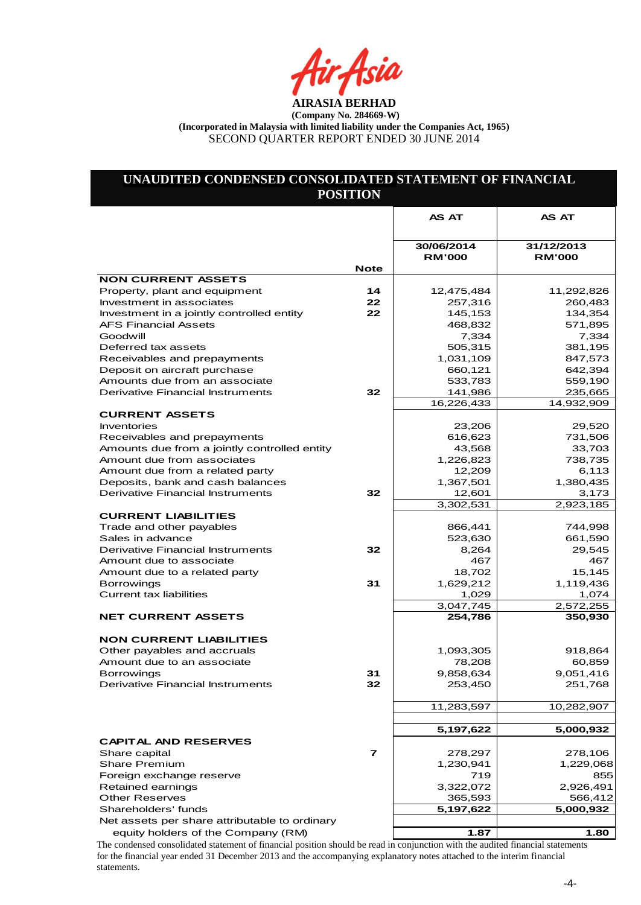ir Asia

## **UNAUDITED CONDENSED CONSOLIDATED STATEMENT OF FINANCIAL POSITION**

| 31/12/2013<br>30/06/2014<br><b>RM'000</b><br><b>RM'000</b><br><b>Note</b><br><b>NON CURRENT ASSETS</b><br>14<br>Property, plant and equipment<br>12,475,484<br>11,292,826<br>22<br>Investment in associates<br>257,316<br>260,483<br>22<br>145,153<br>134,354<br>Investment in a jointly controlled entity<br><b>AFS Financial Assets</b><br>571,895<br>468,832<br>Goodwill<br>7,334<br>7,334<br>Deferred tax assets<br>505,315<br>381,195<br>Receivables and prepayments<br>1,031,109<br>847,573<br>Deposit on aircraft purchase<br>660,121<br>642,394<br>Amounts due from an associate<br>533,783<br>559,190<br>32<br>Derivative Financial Instruments<br>141,986<br>235,665<br>14,932,909<br>16,226,433<br><b>CURRENT ASSETS</b><br><b>Inventories</b><br>23,206<br>29,520<br>Receivables and prepayments<br>616,623<br>731,506<br>Amounts due from a jointly controlled entity<br>43,568<br>33,703<br>738,735<br>Amount due from associates<br>1,226,823<br>Amount due from a related party<br>12,209<br>6,113<br>1,367,501<br>1,380,435<br>Deposits, bank and cash balances<br>32<br>Derivative Financial Instruments<br>12,601<br>3,173<br>3,302,531<br>2,923,185<br><b>CURRENT LIABILITIES</b><br>Trade and other payables<br>866,441<br>744,998<br>661,590<br>Sales in advance<br>523,630<br><b>Derivative Financial Instruments</b><br>32<br>29,545<br>8,264<br>467<br>467<br>Amount due to associate<br>18,702<br>15,145<br>Amount due to a related party<br>31<br>1,629,212<br>1,119,436<br><b>Borrowings</b><br><b>Current tax liabilities</b><br>1,029<br>1,074<br>2,572,255<br>3,047,745<br><b>NET CURRENT ASSETS</b><br>254,786<br>350,930<br><b>NON CURRENT LIABILITIES</b><br>Other payables and accruals<br>1,093,305<br>918,864<br>Amount due to an associate<br>78,208<br>60,859<br>31<br>9,858,634<br><b>Borrowings</b><br>9,051,416<br>32<br>Derivative Financial Instruments<br>253,450<br>251,768<br>11,283,597<br>10,282,907<br>5,197,622<br>5,000,932<br><b>CAPITAL AND RESERVES</b><br>$\overline{7}$<br>Share capital<br>278,297<br>278,106<br><b>Share Premium</b><br>1,230,941<br>1,229,068<br>Foreign exchange reserve<br>719<br>855<br>Retained earnings<br>2,926,491<br>3,322,072<br><b>Other Reserves</b><br>566,412<br>365,593<br>Shareholders' funds<br>5,197,622<br>5,000,932<br>Net assets per share attributable to ordinary<br>equity holders of the Company (RM)<br>1.87<br>1.80 |  | <b>AS AT</b> | <b>AS AT</b> |
|---------------------------------------------------------------------------------------------------------------------------------------------------------------------------------------------------------------------------------------------------------------------------------------------------------------------------------------------------------------------------------------------------------------------------------------------------------------------------------------------------------------------------------------------------------------------------------------------------------------------------------------------------------------------------------------------------------------------------------------------------------------------------------------------------------------------------------------------------------------------------------------------------------------------------------------------------------------------------------------------------------------------------------------------------------------------------------------------------------------------------------------------------------------------------------------------------------------------------------------------------------------------------------------------------------------------------------------------------------------------------------------------------------------------------------------------------------------------------------------------------------------------------------------------------------------------------------------------------------------------------------------------------------------------------------------------------------------------------------------------------------------------------------------------------------------------------------------------------------------------------------------------------------------------------------------------------------------------------------------------------------------------------------------------------------------------------------------------------------------------------------------------------------------------------------------------------------------------------------------------------------------------------------------------------------------------------------------------------------------------------------------------------------------------------|--|--------------|--------------|
|                                                                                                                                                                                                                                                                                                                                                                                                                                                                                                                                                                                                                                                                                                                                                                                                                                                                                                                                                                                                                                                                                                                                                                                                                                                                                                                                                                                                                                                                                                                                                                                                                                                                                                                                                                                                                                                                                                                                                                                                                                                                                                                                                                                                                                                                                                                                                                                                                           |  |              |              |
|                                                                                                                                                                                                                                                                                                                                                                                                                                                                                                                                                                                                                                                                                                                                                                                                                                                                                                                                                                                                                                                                                                                                                                                                                                                                                                                                                                                                                                                                                                                                                                                                                                                                                                                                                                                                                                                                                                                                                                                                                                                                                                                                                                                                                                                                                                                                                                                                                           |  |              |              |
|                                                                                                                                                                                                                                                                                                                                                                                                                                                                                                                                                                                                                                                                                                                                                                                                                                                                                                                                                                                                                                                                                                                                                                                                                                                                                                                                                                                                                                                                                                                                                                                                                                                                                                                                                                                                                                                                                                                                                                                                                                                                                                                                                                                                                                                                                                                                                                                                                           |  |              |              |
|                                                                                                                                                                                                                                                                                                                                                                                                                                                                                                                                                                                                                                                                                                                                                                                                                                                                                                                                                                                                                                                                                                                                                                                                                                                                                                                                                                                                                                                                                                                                                                                                                                                                                                                                                                                                                                                                                                                                                                                                                                                                                                                                                                                                                                                                                                                                                                                                                           |  |              |              |
|                                                                                                                                                                                                                                                                                                                                                                                                                                                                                                                                                                                                                                                                                                                                                                                                                                                                                                                                                                                                                                                                                                                                                                                                                                                                                                                                                                                                                                                                                                                                                                                                                                                                                                                                                                                                                                                                                                                                                                                                                                                                                                                                                                                                                                                                                                                                                                                                                           |  |              |              |
|                                                                                                                                                                                                                                                                                                                                                                                                                                                                                                                                                                                                                                                                                                                                                                                                                                                                                                                                                                                                                                                                                                                                                                                                                                                                                                                                                                                                                                                                                                                                                                                                                                                                                                                                                                                                                                                                                                                                                                                                                                                                                                                                                                                                                                                                                                                                                                                                                           |  |              |              |
|                                                                                                                                                                                                                                                                                                                                                                                                                                                                                                                                                                                                                                                                                                                                                                                                                                                                                                                                                                                                                                                                                                                                                                                                                                                                                                                                                                                                                                                                                                                                                                                                                                                                                                                                                                                                                                                                                                                                                                                                                                                                                                                                                                                                                                                                                                                                                                                                                           |  |              |              |
|                                                                                                                                                                                                                                                                                                                                                                                                                                                                                                                                                                                                                                                                                                                                                                                                                                                                                                                                                                                                                                                                                                                                                                                                                                                                                                                                                                                                                                                                                                                                                                                                                                                                                                                                                                                                                                                                                                                                                                                                                                                                                                                                                                                                                                                                                                                                                                                                                           |  |              |              |
|                                                                                                                                                                                                                                                                                                                                                                                                                                                                                                                                                                                                                                                                                                                                                                                                                                                                                                                                                                                                                                                                                                                                                                                                                                                                                                                                                                                                                                                                                                                                                                                                                                                                                                                                                                                                                                                                                                                                                                                                                                                                                                                                                                                                                                                                                                                                                                                                                           |  |              |              |
|                                                                                                                                                                                                                                                                                                                                                                                                                                                                                                                                                                                                                                                                                                                                                                                                                                                                                                                                                                                                                                                                                                                                                                                                                                                                                                                                                                                                                                                                                                                                                                                                                                                                                                                                                                                                                                                                                                                                                                                                                                                                                                                                                                                                                                                                                                                                                                                                                           |  |              |              |
|                                                                                                                                                                                                                                                                                                                                                                                                                                                                                                                                                                                                                                                                                                                                                                                                                                                                                                                                                                                                                                                                                                                                                                                                                                                                                                                                                                                                                                                                                                                                                                                                                                                                                                                                                                                                                                                                                                                                                                                                                                                                                                                                                                                                                                                                                                                                                                                                                           |  |              |              |
|                                                                                                                                                                                                                                                                                                                                                                                                                                                                                                                                                                                                                                                                                                                                                                                                                                                                                                                                                                                                                                                                                                                                                                                                                                                                                                                                                                                                                                                                                                                                                                                                                                                                                                                                                                                                                                                                                                                                                                                                                                                                                                                                                                                                                                                                                                                                                                                                                           |  |              |              |
|                                                                                                                                                                                                                                                                                                                                                                                                                                                                                                                                                                                                                                                                                                                                                                                                                                                                                                                                                                                                                                                                                                                                                                                                                                                                                                                                                                                                                                                                                                                                                                                                                                                                                                                                                                                                                                                                                                                                                                                                                                                                                                                                                                                                                                                                                                                                                                                                                           |  |              |              |
|                                                                                                                                                                                                                                                                                                                                                                                                                                                                                                                                                                                                                                                                                                                                                                                                                                                                                                                                                                                                                                                                                                                                                                                                                                                                                                                                                                                                                                                                                                                                                                                                                                                                                                                                                                                                                                                                                                                                                                                                                                                                                                                                                                                                                                                                                                                                                                                                                           |  |              |              |
|                                                                                                                                                                                                                                                                                                                                                                                                                                                                                                                                                                                                                                                                                                                                                                                                                                                                                                                                                                                                                                                                                                                                                                                                                                                                                                                                                                                                                                                                                                                                                                                                                                                                                                                                                                                                                                                                                                                                                                                                                                                                                                                                                                                                                                                                                                                                                                                                                           |  |              |              |
|                                                                                                                                                                                                                                                                                                                                                                                                                                                                                                                                                                                                                                                                                                                                                                                                                                                                                                                                                                                                                                                                                                                                                                                                                                                                                                                                                                                                                                                                                                                                                                                                                                                                                                                                                                                                                                                                                                                                                                                                                                                                                                                                                                                                                                                                                                                                                                                                                           |  |              |              |
|                                                                                                                                                                                                                                                                                                                                                                                                                                                                                                                                                                                                                                                                                                                                                                                                                                                                                                                                                                                                                                                                                                                                                                                                                                                                                                                                                                                                                                                                                                                                                                                                                                                                                                                                                                                                                                                                                                                                                                                                                                                                                                                                                                                                                                                                                                                                                                                                                           |  |              |              |
|                                                                                                                                                                                                                                                                                                                                                                                                                                                                                                                                                                                                                                                                                                                                                                                                                                                                                                                                                                                                                                                                                                                                                                                                                                                                                                                                                                                                                                                                                                                                                                                                                                                                                                                                                                                                                                                                                                                                                                                                                                                                                                                                                                                                                                                                                                                                                                                                                           |  |              |              |
|                                                                                                                                                                                                                                                                                                                                                                                                                                                                                                                                                                                                                                                                                                                                                                                                                                                                                                                                                                                                                                                                                                                                                                                                                                                                                                                                                                                                                                                                                                                                                                                                                                                                                                                                                                                                                                                                                                                                                                                                                                                                                                                                                                                                                                                                                                                                                                                                                           |  |              |              |
|                                                                                                                                                                                                                                                                                                                                                                                                                                                                                                                                                                                                                                                                                                                                                                                                                                                                                                                                                                                                                                                                                                                                                                                                                                                                                                                                                                                                                                                                                                                                                                                                                                                                                                                                                                                                                                                                                                                                                                                                                                                                                                                                                                                                                                                                                                                                                                                                                           |  |              |              |
|                                                                                                                                                                                                                                                                                                                                                                                                                                                                                                                                                                                                                                                                                                                                                                                                                                                                                                                                                                                                                                                                                                                                                                                                                                                                                                                                                                                                                                                                                                                                                                                                                                                                                                                                                                                                                                                                                                                                                                                                                                                                                                                                                                                                                                                                                                                                                                                                                           |  |              |              |
|                                                                                                                                                                                                                                                                                                                                                                                                                                                                                                                                                                                                                                                                                                                                                                                                                                                                                                                                                                                                                                                                                                                                                                                                                                                                                                                                                                                                                                                                                                                                                                                                                                                                                                                                                                                                                                                                                                                                                                                                                                                                                                                                                                                                                                                                                                                                                                                                                           |  |              |              |
|                                                                                                                                                                                                                                                                                                                                                                                                                                                                                                                                                                                                                                                                                                                                                                                                                                                                                                                                                                                                                                                                                                                                                                                                                                                                                                                                                                                                                                                                                                                                                                                                                                                                                                                                                                                                                                                                                                                                                                                                                                                                                                                                                                                                                                                                                                                                                                                                                           |  |              |              |
|                                                                                                                                                                                                                                                                                                                                                                                                                                                                                                                                                                                                                                                                                                                                                                                                                                                                                                                                                                                                                                                                                                                                                                                                                                                                                                                                                                                                                                                                                                                                                                                                                                                                                                                                                                                                                                                                                                                                                                                                                                                                                                                                                                                                                                                                                                                                                                                                                           |  |              |              |
|                                                                                                                                                                                                                                                                                                                                                                                                                                                                                                                                                                                                                                                                                                                                                                                                                                                                                                                                                                                                                                                                                                                                                                                                                                                                                                                                                                                                                                                                                                                                                                                                                                                                                                                                                                                                                                                                                                                                                                                                                                                                                                                                                                                                                                                                                                                                                                                                                           |  |              |              |
|                                                                                                                                                                                                                                                                                                                                                                                                                                                                                                                                                                                                                                                                                                                                                                                                                                                                                                                                                                                                                                                                                                                                                                                                                                                                                                                                                                                                                                                                                                                                                                                                                                                                                                                                                                                                                                                                                                                                                                                                                                                                                                                                                                                                                                                                                                                                                                                                                           |  |              |              |
|                                                                                                                                                                                                                                                                                                                                                                                                                                                                                                                                                                                                                                                                                                                                                                                                                                                                                                                                                                                                                                                                                                                                                                                                                                                                                                                                                                                                                                                                                                                                                                                                                                                                                                                                                                                                                                                                                                                                                                                                                                                                                                                                                                                                                                                                                                                                                                                                                           |  |              |              |
|                                                                                                                                                                                                                                                                                                                                                                                                                                                                                                                                                                                                                                                                                                                                                                                                                                                                                                                                                                                                                                                                                                                                                                                                                                                                                                                                                                                                                                                                                                                                                                                                                                                                                                                                                                                                                                                                                                                                                                                                                                                                                                                                                                                                                                                                                                                                                                                                                           |  |              |              |
|                                                                                                                                                                                                                                                                                                                                                                                                                                                                                                                                                                                                                                                                                                                                                                                                                                                                                                                                                                                                                                                                                                                                                                                                                                                                                                                                                                                                                                                                                                                                                                                                                                                                                                                                                                                                                                                                                                                                                                                                                                                                                                                                                                                                                                                                                                                                                                                                                           |  |              |              |
|                                                                                                                                                                                                                                                                                                                                                                                                                                                                                                                                                                                                                                                                                                                                                                                                                                                                                                                                                                                                                                                                                                                                                                                                                                                                                                                                                                                                                                                                                                                                                                                                                                                                                                                                                                                                                                                                                                                                                                                                                                                                                                                                                                                                                                                                                                                                                                                                                           |  |              |              |
|                                                                                                                                                                                                                                                                                                                                                                                                                                                                                                                                                                                                                                                                                                                                                                                                                                                                                                                                                                                                                                                                                                                                                                                                                                                                                                                                                                                                                                                                                                                                                                                                                                                                                                                                                                                                                                                                                                                                                                                                                                                                                                                                                                                                                                                                                                                                                                                                                           |  |              |              |
|                                                                                                                                                                                                                                                                                                                                                                                                                                                                                                                                                                                                                                                                                                                                                                                                                                                                                                                                                                                                                                                                                                                                                                                                                                                                                                                                                                                                                                                                                                                                                                                                                                                                                                                                                                                                                                                                                                                                                                                                                                                                                                                                                                                                                                                                                                                                                                                                                           |  |              |              |
|                                                                                                                                                                                                                                                                                                                                                                                                                                                                                                                                                                                                                                                                                                                                                                                                                                                                                                                                                                                                                                                                                                                                                                                                                                                                                                                                                                                                                                                                                                                                                                                                                                                                                                                                                                                                                                                                                                                                                                                                                                                                                                                                                                                                                                                                                                                                                                                                                           |  |              |              |
|                                                                                                                                                                                                                                                                                                                                                                                                                                                                                                                                                                                                                                                                                                                                                                                                                                                                                                                                                                                                                                                                                                                                                                                                                                                                                                                                                                                                                                                                                                                                                                                                                                                                                                                                                                                                                                                                                                                                                                                                                                                                                                                                                                                                                                                                                                                                                                                                                           |  |              |              |
|                                                                                                                                                                                                                                                                                                                                                                                                                                                                                                                                                                                                                                                                                                                                                                                                                                                                                                                                                                                                                                                                                                                                                                                                                                                                                                                                                                                                                                                                                                                                                                                                                                                                                                                                                                                                                                                                                                                                                                                                                                                                                                                                                                                                                                                                                                                                                                                                                           |  |              |              |
|                                                                                                                                                                                                                                                                                                                                                                                                                                                                                                                                                                                                                                                                                                                                                                                                                                                                                                                                                                                                                                                                                                                                                                                                                                                                                                                                                                                                                                                                                                                                                                                                                                                                                                                                                                                                                                                                                                                                                                                                                                                                                                                                                                                                                                                                                                                                                                                                                           |  |              |              |
|                                                                                                                                                                                                                                                                                                                                                                                                                                                                                                                                                                                                                                                                                                                                                                                                                                                                                                                                                                                                                                                                                                                                                                                                                                                                                                                                                                                                                                                                                                                                                                                                                                                                                                                                                                                                                                                                                                                                                                                                                                                                                                                                                                                                                                                                                                                                                                                                                           |  |              |              |
|                                                                                                                                                                                                                                                                                                                                                                                                                                                                                                                                                                                                                                                                                                                                                                                                                                                                                                                                                                                                                                                                                                                                                                                                                                                                                                                                                                                                                                                                                                                                                                                                                                                                                                                                                                                                                                                                                                                                                                                                                                                                                                                                                                                                                                                                                                                                                                                                                           |  |              |              |
|                                                                                                                                                                                                                                                                                                                                                                                                                                                                                                                                                                                                                                                                                                                                                                                                                                                                                                                                                                                                                                                                                                                                                                                                                                                                                                                                                                                                                                                                                                                                                                                                                                                                                                                                                                                                                                                                                                                                                                                                                                                                                                                                                                                                                                                                                                                                                                                                                           |  |              |              |
|                                                                                                                                                                                                                                                                                                                                                                                                                                                                                                                                                                                                                                                                                                                                                                                                                                                                                                                                                                                                                                                                                                                                                                                                                                                                                                                                                                                                                                                                                                                                                                                                                                                                                                                                                                                                                                                                                                                                                                                                                                                                                                                                                                                                                                                                                                                                                                                                                           |  |              |              |
|                                                                                                                                                                                                                                                                                                                                                                                                                                                                                                                                                                                                                                                                                                                                                                                                                                                                                                                                                                                                                                                                                                                                                                                                                                                                                                                                                                                                                                                                                                                                                                                                                                                                                                                                                                                                                                                                                                                                                                                                                                                                                                                                                                                                                                                                                                                                                                                                                           |  |              |              |
|                                                                                                                                                                                                                                                                                                                                                                                                                                                                                                                                                                                                                                                                                                                                                                                                                                                                                                                                                                                                                                                                                                                                                                                                                                                                                                                                                                                                                                                                                                                                                                                                                                                                                                                                                                                                                                                                                                                                                                                                                                                                                                                                                                                                                                                                                                                                                                                                                           |  |              |              |
|                                                                                                                                                                                                                                                                                                                                                                                                                                                                                                                                                                                                                                                                                                                                                                                                                                                                                                                                                                                                                                                                                                                                                                                                                                                                                                                                                                                                                                                                                                                                                                                                                                                                                                                                                                                                                                                                                                                                                                                                                                                                                                                                                                                                                                                                                                                                                                                                                           |  |              |              |
|                                                                                                                                                                                                                                                                                                                                                                                                                                                                                                                                                                                                                                                                                                                                                                                                                                                                                                                                                                                                                                                                                                                                                                                                                                                                                                                                                                                                                                                                                                                                                                                                                                                                                                                                                                                                                                                                                                                                                                                                                                                                                                                                                                                                                                                                                                                                                                                                                           |  |              |              |
|                                                                                                                                                                                                                                                                                                                                                                                                                                                                                                                                                                                                                                                                                                                                                                                                                                                                                                                                                                                                                                                                                                                                                                                                                                                                                                                                                                                                                                                                                                                                                                                                                                                                                                                                                                                                                                                                                                                                                                                                                                                                                                                                                                                                                                                                                                                                                                                                                           |  |              |              |
|                                                                                                                                                                                                                                                                                                                                                                                                                                                                                                                                                                                                                                                                                                                                                                                                                                                                                                                                                                                                                                                                                                                                                                                                                                                                                                                                                                                                                                                                                                                                                                                                                                                                                                                                                                                                                                                                                                                                                                                                                                                                                                                                                                                                                                                                                                                                                                                                                           |  |              |              |
|                                                                                                                                                                                                                                                                                                                                                                                                                                                                                                                                                                                                                                                                                                                                                                                                                                                                                                                                                                                                                                                                                                                                                                                                                                                                                                                                                                                                                                                                                                                                                                                                                                                                                                                                                                                                                                                                                                                                                                                                                                                                                                                                                                                                                                                                                                                                                                                                                           |  |              |              |
|                                                                                                                                                                                                                                                                                                                                                                                                                                                                                                                                                                                                                                                                                                                                                                                                                                                                                                                                                                                                                                                                                                                                                                                                                                                                                                                                                                                                                                                                                                                                                                                                                                                                                                                                                                                                                                                                                                                                                                                                                                                                                                                                                                                                                                                                                                                                                                                                                           |  |              |              |
|                                                                                                                                                                                                                                                                                                                                                                                                                                                                                                                                                                                                                                                                                                                                                                                                                                                                                                                                                                                                                                                                                                                                                                                                                                                                                                                                                                                                                                                                                                                                                                                                                                                                                                                                                                                                                                                                                                                                                                                                                                                                                                                                                                                                                                                                                                                                                                                                                           |  |              |              |
|                                                                                                                                                                                                                                                                                                                                                                                                                                                                                                                                                                                                                                                                                                                                                                                                                                                                                                                                                                                                                                                                                                                                                                                                                                                                                                                                                                                                                                                                                                                                                                                                                                                                                                                                                                                                                                                                                                                                                                                                                                                                                                                                                                                                                                                                                                                                                                                                                           |  |              |              |

The condensed consolidated statement of financial position should be read in conjunction with the audited financial statements for the financial year ended 31 December 2013 and the accompanying explanatory notes attached to the interim financial statements.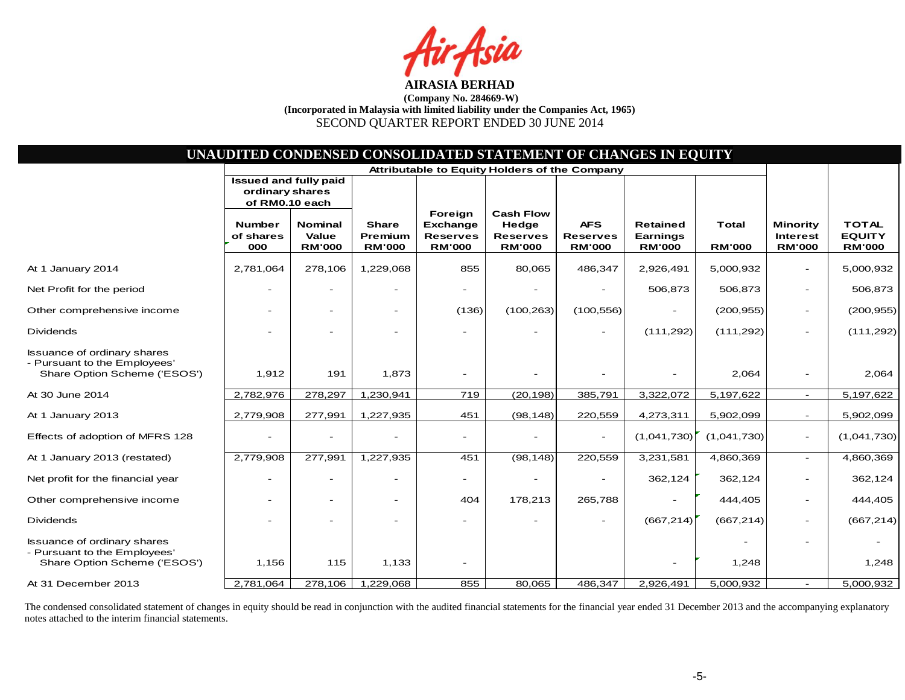fsia

|                                                                                                    |                                                                   |                                          |                                          |                                                         | UNAUDITED CONDENSED CONSOLIDATED STATEMENT OF CHANGES IN EQUITY |                                                |                                                     |                               |                                                     |                                                |
|----------------------------------------------------------------------------------------------------|-------------------------------------------------------------------|------------------------------------------|------------------------------------------|---------------------------------------------------------|-----------------------------------------------------------------|------------------------------------------------|-----------------------------------------------------|-------------------------------|-----------------------------------------------------|------------------------------------------------|
|                                                                                                    |                                                                   |                                          |                                          |                                                         | Attributable to Equity Holders of the Company                   |                                                |                                                     |                               |                                                     |                                                |
|                                                                                                    | <b>Issued and fully paid</b><br>ordinary shares<br>of RM0.10 each |                                          |                                          |                                                         |                                                                 |                                                |                                                     |                               |                                                     |                                                |
|                                                                                                    | <b>Number</b><br>of shares<br>000                                 | <b>Nominal</b><br>Value<br><b>RM'000</b> | <b>Share</b><br>Premium<br><b>RM'000</b> | Foreign<br>Exchange<br><b>Reserves</b><br><b>RM'000</b> | <b>Cash Flow</b><br>Hedge<br><b>Reserves</b><br><b>RM'000</b>   | <b>AFS</b><br><b>Reserves</b><br><b>RM'000</b> | <b>Retained</b><br><b>Earnings</b><br><b>RM'000</b> | <b>Total</b><br><b>RM'000</b> | <b>Minority</b><br><b>Interest</b><br><b>RM'000</b> | <b>TOTAL</b><br><b>EQUITY</b><br><b>RM'000</b> |
| At 1 January 2014                                                                                  | 2,781,064                                                         | 278,106                                  | 1,229,068                                | 855                                                     | 80,065                                                          | 486,347                                        | 2,926,491                                           | 5,000,932                     |                                                     | 5,000,932                                      |
| Net Profit for the period                                                                          |                                                                   |                                          |                                          |                                                         |                                                                 |                                                | 506,873                                             | 506,873                       |                                                     | 506,873                                        |
| Other comprehensive income                                                                         |                                                                   |                                          |                                          | (136)                                                   | (100, 263)                                                      | (100, 556)                                     |                                                     | (200, 955)                    | $\overline{\phantom{a}}$                            | (200, 955)                                     |
| <b>Dividends</b>                                                                                   |                                                                   |                                          |                                          |                                                         |                                                                 |                                                | (111, 292)                                          | (111, 292)                    |                                                     | (111, 292)                                     |
| <b>Issuance of ordinary shares</b><br>- Pursuant to the Employees'<br>Share Option Scheme ('ESOS') | 1,912                                                             | 191                                      | 1,873                                    |                                                         |                                                                 |                                                |                                                     | 2,064                         |                                                     | 2,064                                          |
| At 30 June 2014                                                                                    | 2,782,976                                                         | 278,297                                  | 1,230,941                                | 719                                                     | (20, 198)                                                       | 385,791                                        | 3,322,072                                           | 5,197,622                     |                                                     | $\overline{5,197,622}$                         |
| At 1 January 2013                                                                                  | 2,779,908                                                         | 277,991                                  | 1,227,935                                | 451                                                     | (98, 148)                                                       | 220,559                                        | 4,273,311                                           | 5,902,099                     | $\overline{\phantom{a}}$                            | 5,902,099                                      |
| Effects of adoption of MFRS 128                                                                    | $\overline{\phantom{0}}$                                          | $\overline{a}$                           |                                          | $\overline{\phantom{0}}$                                |                                                                 |                                                | (1,041,730)                                         | (1,041,730)                   | $\overline{a}$                                      | (1,041,730)                                    |
| At 1 January 2013 (restated)                                                                       | 2,779,908                                                         | 277,991                                  | 1,227,935                                | 451                                                     | (98, 148)                                                       | 220,559                                        | 3,231,581                                           | 4,860,369                     | $\overline{\phantom{a}}$                            | 4,860,369                                      |
| Net profit for the financial year                                                                  |                                                                   |                                          |                                          |                                                         |                                                                 |                                                | 362,124                                             | 362,124                       |                                                     | 362,124                                        |
| Other comprehensive income                                                                         |                                                                   |                                          |                                          | 404                                                     | 178,213                                                         | 265,788                                        |                                                     | 444,405                       |                                                     | 444,405                                        |
| <b>Dividends</b>                                                                                   |                                                                   |                                          |                                          |                                                         |                                                                 |                                                | (667, 214)                                          | (667, 214)                    | $\overline{\phantom{a}}$                            | (667, 214)                                     |
| <b>Issuance of ordinary shares</b><br>- Pursuant to the Employees'<br>Share Option Scheme ('ESOS') | 1,156                                                             | 115                                      | 1,133                                    |                                                         |                                                                 |                                                |                                                     | 1,248                         |                                                     | 1,248                                          |
| At 31 December 2013                                                                                | 2,781,064                                                         | 278,106                                  | 1,229,068                                | 855                                                     | 80,065                                                          | 486,347                                        | 2,926,491                                           | 5,000,932                     | $\sim$                                              | 5,000,932                                      |

The condensed consolidated statement of changes in equity should be read in conjunction with the audited financial statements for the financial year ended 31 December 2013 and the accompanying explanatory notes attached to the interim financial statements.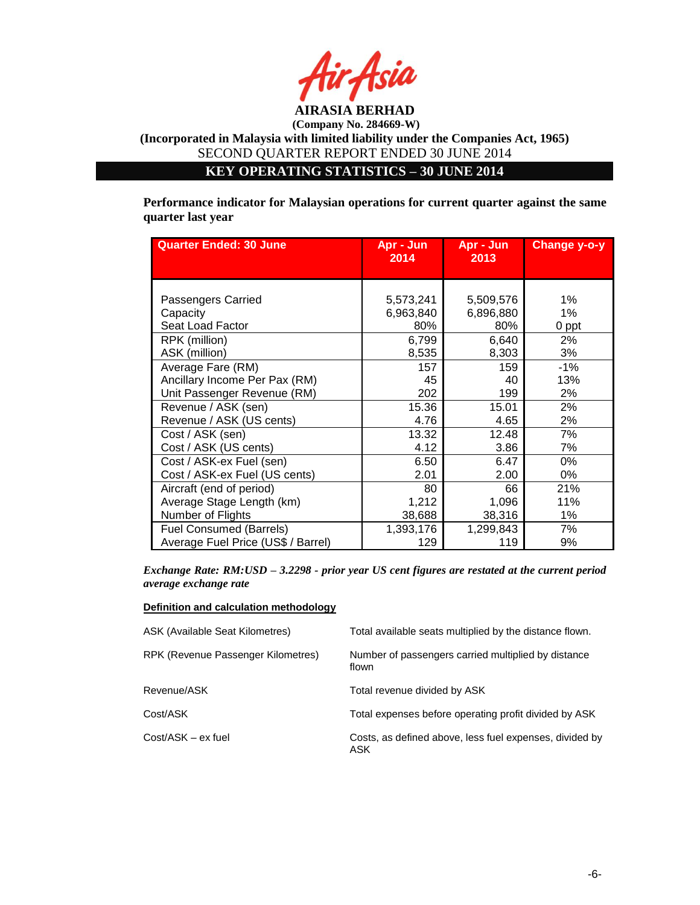

**KEY OPERATING STATISTICS – 30 JUNE 2014**

**Performance indicator for Malaysian operations for current quarter against the same quarter last year**

| <b>Quarter Ended: 30 June</b>      | Apr - Jun<br>2014 | Apr - Jun<br>2013 | Change y-o-y |
|------------------------------------|-------------------|-------------------|--------------|
|                                    |                   |                   |              |
| Passengers Carried                 | 5,573,241         | 5,509,576         | 1%           |
| Capacity                           | 6,963,840         | 6,896,880         | 1%           |
| Seat Load Factor                   | 80%               | 80%               | 0 ppt        |
| RPK (million)                      | 6,799             | 6,640             | 2%           |
| ASK (million)                      | 8,535             | 8,303             | 3%           |
| Average Fare (RM)                  | 157               | 159               | $-1%$        |
| Ancillary Income Per Pax (RM)      | 45                | 40                | 13%          |
| Unit Passenger Revenue (RM)        | 202               | 199               | 2%           |
| Revenue / ASK (sen)                | 15.36             | 15.01             | 2%           |
| Revenue / ASK (US cents)           | 4.76              | 4.65              | 2%           |
| Cost / ASK (sen)                   | 13.32             | 12.48             | 7%           |
| Cost / ASK (US cents)              | 4.12              | 3.86              | 7%           |
| Cost / ASK-ex Fuel (sen)           | 6.50              | 6.47              | 0%           |
| Cost / ASK-ex Fuel (US cents)      | 2.01              | 2.00              | 0%           |
| Aircraft (end of period)           | 80                | 66                | 21%          |
| Average Stage Length (km)          | 1,212             | 1,096             | 11%          |
| Number of Flights                  | 38,688            | 38,316            | 1%           |
| <b>Fuel Consumed (Barrels)</b>     | 1,393,176         | 1,299,843         | 7%           |
| Average Fuel Price (US\$ / Barrel) | 129               | 119               | 9%           |

*Exchange Rate: RM:USD – 3.2298 - prior year US cent figures are restated at the current period average exchange rate*

#### **Definition and calculation methodology**

| ASK (Available Seat Kilometres)    | Total available seats multiplied by the distance flown.        |
|------------------------------------|----------------------------------------------------------------|
| RPK (Revenue Passenger Kilometres) | Number of passengers carried multiplied by distance<br>flown   |
| Revenue/ASK                        | Total revenue divided by ASK                                   |
| Cost/ASK                           | Total expenses before operating profit divided by ASK          |
| Cost/ASK - ex fuel                 | Costs, as defined above, less fuel expenses, divided by<br>ASK |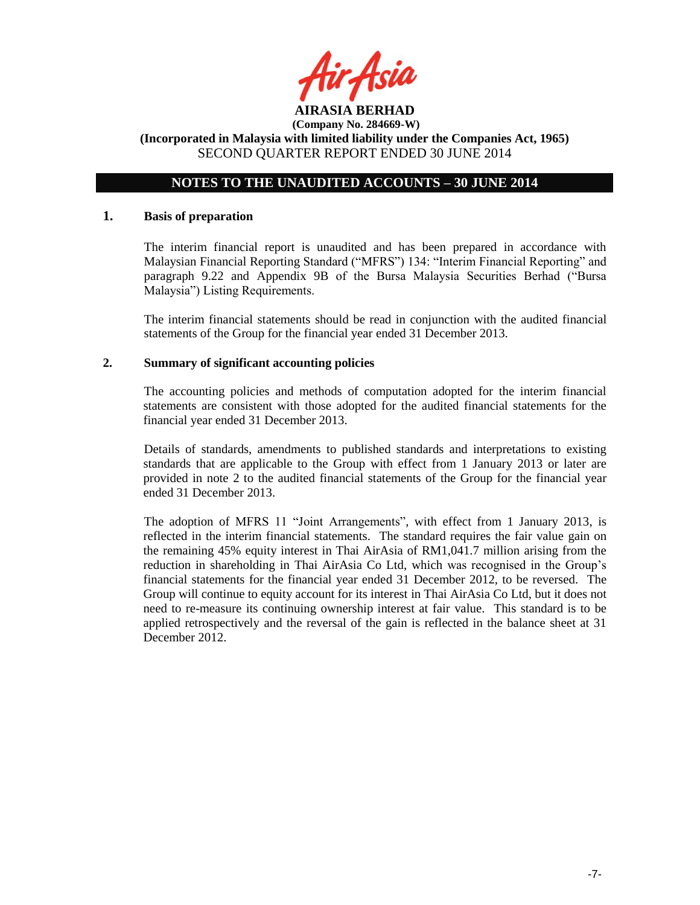

## **NOTES TO THE UNAUDITED ACCOUNTS – 30 JUNE 2014**

#### **1. Basis of preparation**

The interim financial report is unaudited and has been prepared in accordance with Malaysian Financial Reporting Standard ("MFRS") 134: "Interim Financial Reporting" and paragraph 9.22 and Appendix 9B of the Bursa Malaysia Securities Berhad ("Bursa Malaysia") Listing Requirements.

The interim financial statements should be read in conjunction with the audited financial statements of the Group for the financial year ended 31 December 2013.

#### **2. Summary of significant accounting policies**

The accounting policies and methods of computation adopted for the interim financial statements are consistent with those adopted for the audited financial statements for the financial year ended 31 December 2013.

Details of standards, amendments to published standards and interpretations to existing standards that are applicable to the Group with effect from 1 January 2013 or later are provided in note 2 to the audited financial statements of the Group for the financial year ended 31 December 2013.

The adoption of MFRS 11 "Joint Arrangements", with effect from 1 January 2013, is reflected in the interim financial statements. The standard requires the fair value gain on the remaining 45% equity interest in Thai AirAsia of RM1,041.7 million arising from the reduction in shareholding in Thai AirAsia Co Ltd, which was recognised in the Group's financial statements for the financial year ended 31 December 2012, to be reversed. The Group will continue to equity account for its interest in Thai AirAsia Co Ltd, but it does not need to re-measure its continuing ownership interest at fair value. This standard is to be applied retrospectively and the reversal of the gain is reflected in the balance sheet at 31 December 2012.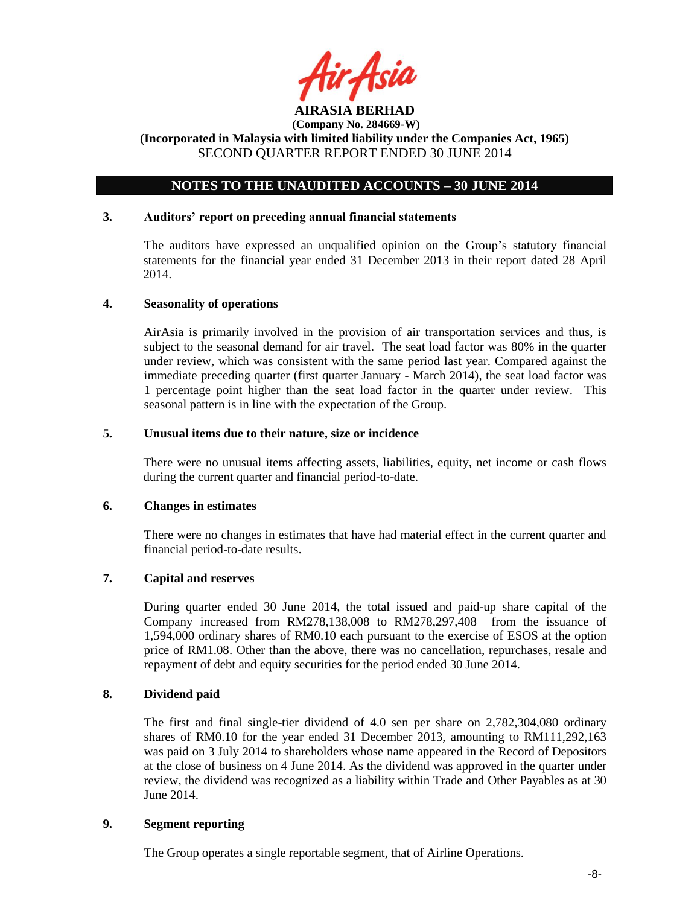

## **NOTES TO THE UNAUDITED ACCOUNTS – 30 JUNE 2014**

### **3. Auditors' report on preceding annual financial statements**

The auditors have expressed an unqualified opinion on the Group's statutory financial statements for the financial year ended 31 December 2013 in their report dated 28 April 2014.

#### **4. Seasonality of operations**

AirAsia is primarily involved in the provision of air transportation services and thus, is subject to the seasonal demand for air travel. The seat load factor was 80% in the quarter under review, which was consistent with the same period last year. Compared against the immediate preceding quarter (first quarter January - March 2014), the seat load factor was 1 percentage point higher than the seat load factor in the quarter under review. This seasonal pattern is in line with the expectation of the Group.

## **5. Unusual items due to their nature, size or incidence**

There were no unusual items affecting assets, liabilities, equity, net income or cash flows during the current quarter and financial period-to-date.

#### **6. Changes in estimates**

There were no changes in estimates that have had material effect in the current quarter and financial period-to-date results.

## **7. Capital and reserves**

During quarter ended 30 June 2014, the total issued and paid-up share capital of the Company increased from RM278,138,008 to RM278,297,408 from the issuance of 1,594,000 ordinary shares of RM0.10 each pursuant to the exercise of ESOS at the option price of RM1.08. Other than the above, there was no cancellation, repurchases, resale and repayment of debt and equity securities for the period ended 30 June 2014.

### **8. Dividend paid**

The first and final single-tier dividend of 4.0 sen per share on 2,782,304,080 ordinary shares of RM0.10 for the year ended 31 December 2013, amounting to RM111,292,163 was paid on 3 July 2014 to shareholders whose name appeared in the Record of Depositors at the close of business on 4 June 2014. As the dividend was approved in the quarter under review, the dividend was recognized as a liability within Trade and Other Payables as at 30 June 2014.

#### **9. Segment reporting**

The Group operates a single reportable segment, that of Airline Operations.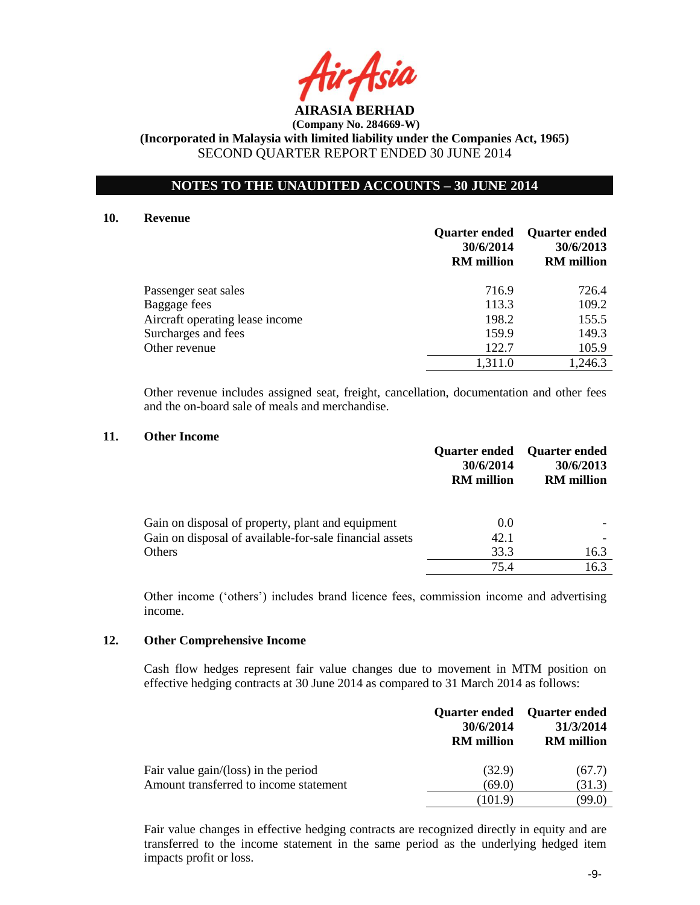**AIRASIA BERHAD** 

## **NOTES TO THE UNAUDITED ACCOUNTS – 30 JUNE 2014**

#### **10. Revenue**

|                                 | <b>Quarter ended</b><br>30/6/2014<br><b>RM</b> million | <b>Quarter ended</b><br>30/6/2013<br><b>RM</b> million |
|---------------------------------|--------------------------------------------------------|--------------------------------------------------------|
| Passenger seat sales            | 716.9                                                  | 726.4                                                  |
| Baggage fees                    | 113.3                                                  | 109.2                                                  |
| Aircraft operating lease income | 198.2                                                  | 155.5                                                  |
| Surcharges and fees             | 159.9                                                  | 149.3                                                  |
| Other revenue                   | 122.7                                                  | 105.9                                                  |
|                                 | 1,311.0                                                | 1,246.3                                                |

Other revenue includes assigned seat, freight, cancellation, documentation and other fees and the on-board sale of meals and merchandise.

#### **11. Other Income**

|                                                         | 30/6/2014<br><b>RM</b> million | <b>Quarter ended</b> Quarter ended<br>30/6/2013<br><b>RM</b> million |
|---------------------------------------------------------|--------------------------------|----------------------------------------------------------------------|
| Gain on disposal of property, plant and equipment       | 0.0                            |                                                                      |
| Gain on disposal of available-for-sale financial assets | 42.1                           |                                                                      |
| <b>Others</b>                                           | 33.3                           | 16.3                                                                 |
|                                                         | 75 4                           | 16.3                                                                 |

Other income ('others') includes brand licence fees, commission income and advertising income.

#### **12. Other Comprehensive Income**

Cash flow hedges represent fair value changes due to movement in MTM position on effective hedging contracts at 30 June 2014 as compared to 31 March 2014 as follows:

|                                        | 30/6/2014<br><b>RM</b> million | Quarter ended Quarter ended<br>31/3/2014<br><b>RM</b> million |
|----------------------------------------|--------------------------------|---------------------------------------------------------------|
| Fair value gain/(loss) in the period   | (32.9)                         | (67.7)                                                        |
| Amount transferred to income statement | (69.0)                         | (31.3)                                                        |
|                                        | (101.9)                        | (99.0)                                                        |

Fair value changes in effective hedging contracts are recognized directly in equity and are transferred to the income statement in the same period as the underlying hedged item impacts profit or loss.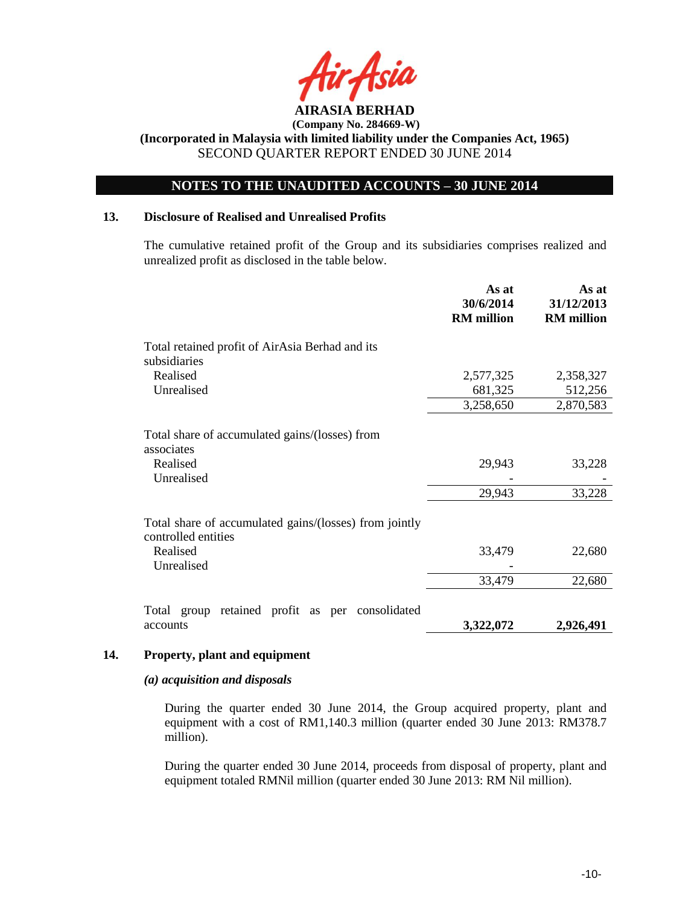

## **NOTES TO THE UNAUDITED ACCOUNTS – 30 JUNE 2014**

#### **13. Disclosure of Realised and Unrealised Profits**

The cumulative retained profit of the Group and its subsidiaries comprises realized and unrealized profit as disclosed in the table below.

|                                                                                        | As at<br>30/6/2014<br><b>RM</b> million | As at<br>31/12/2013<br><b>RM</b> million |
|----------------------------------------------------------------------------------------|-----------------------------------------|------------------------------------------|
| Total retained profit of AirAsia Berhad and its<br>subsidiaries                        |                                         |                                          |
| Realised                                                                               | 2,577,325                               | 2,358,327                                |
| Unrealised                                                                             | 681,325                                 | 512,256                                  |
|                                                                                        | 3,258,650                               | 2,870,583                                |
| Total share of accumulated gains/(losses) from<br>associates<br>Realised<br>Unrealised | 29,943                                  | 33,228                                   |
|                                                                                        | 29,943                                  | 33,228                                   |
| Total share of accumulated gains/(losses) from jointly<br>controlled entities          |                                         |                                          |
| Realised<br>Unrealised                                                                 | 33,479                                  | 22,680                                   |
|                                                                                        | 33,479                                  | 22,680                                   |
| Total group retained profit as per consolidated                                        |                                         |                                          |
| accounts                                                                               | 3,322,072                               | 2,926,491                                |

#### **14. Property, plant and equipment**

#### *(a) acquisition and disposals*

During the quarter ended 30 June 2014, the Group acquired property, plant and equipment with a cost of RM1,140.3 million (quarter ended 30 June 2013: RM378.7 million).

During the quarter ended 30 June 2014, proceeds from disposal of property, plant and equipment totaled RMNil million (quarter ended 30 June 2013: RM Nil million).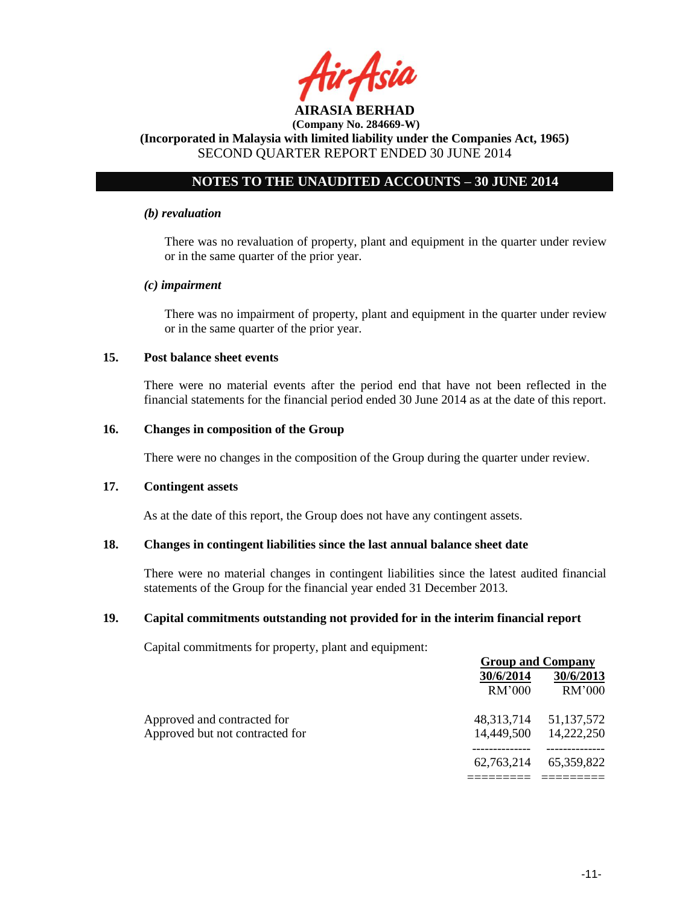

## **NOTES TO THE UNAUDITED ACCOUNTS – 30 JUNE 2014**

#### *(b) revaluation*

There was no revaluation of property, plant and equipment in the quarter under review or in the same quarter of the prior year.

#### *(c) impairment*

There was no impairment of property, plant and equipment in the quarter under review or in the same quarter of the prior year.

### **15. Post balance sheet events**

There were no material events after the period end that have not been reflected in the financial statements for the financial period ended 30 June 2014 as at the date of this report.

### **16. Changes in composition of the Group**

There were no changes in the composition of the Group during the quarter under review.

#### **17. Contingent assets**

As at the date of this report, the Group does not have any contingent assets.

#### **18. Changes in contingent liabilities since the last annual balance sheet date**

There were no material changes in contingent liabilities since the latest audited financial statements of the Group for the financial year ended 31 December 2013.

### **19. Capital commitments outstanding not provided for in the interim financial report**

Capital commitments for property, plant and equipment:

|                                 | <b>Group and Company</b>  |               |  |
|---------------------------------|---------------------------|---------------|--|
|                                 | 30/6/2014                 | 30/6/2013     |  |
|                                 | RM'000                    | <b>RM'000</b> |  |
| Approved and contracted for     | 48, 313, 714 51, 137, 572 |               |  |
| Approved but not contracted for | 14.449.500                | 14,222,250    |  |
|                                 | 62,763,214                | 65,359,822    |  |
|                                 |                           |               |  |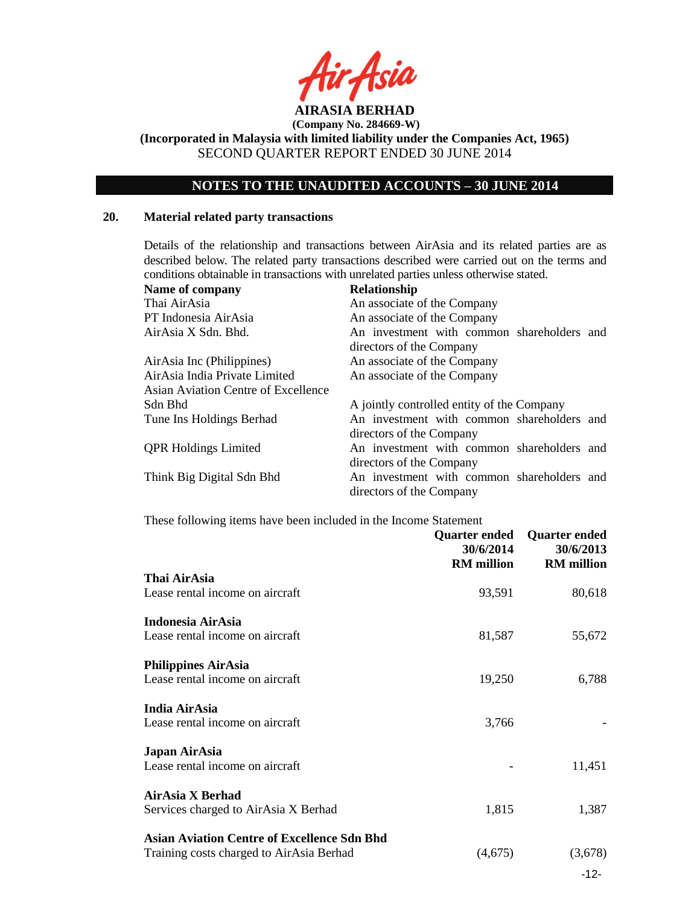

# **NOTES TO THE UNAUDITED ACCOUNTS – 30 JUNE 2014**

## **20. Material related party transactions**

Details of the relationship and transactions between AirAsia and its related parties are as described below. The related party transactions described were carried out on the terms and conditions obtainable in transactions with unrelated parties unless otherwise stated.

| Name of company                     | <b>Relationship</b>                        |
|-------------------------------------|--------------------------------------------|
| Thai AirAsia                        | An associate of the Company                |
| PT Indonesia AirAsia                | An associate of the Company                |
| AirAsia X Sdn. Bhd.                 | An investment with common shareholders and |
|                                     | directors of the Company                   |
| AirAsia Inc (Philippines)           | An associate of the Company                |
| AirAsia India Private Limited       | An associate of the Company                |
| Asian Aviation Centre of Excellence |                                            |
| Sdn Bhd                             | A jointly controlled entity of the Company |
| Tune Ins Holdings Berhad            | An investment with common shareholders and |
|                                     | directors of the Company                   |
| <b>QPR</b> Holdings Limited         | An investment with common shareholders and |
|                                     | directors of the Company                   |
| Think Big Digital Sdn Bhd           | An investment with common shareholders and |
|                                     | directors of the Company                   |

These following items have been included in the Income Statement

|                                                    | Quarter ended<br>30/6/2014<br><b>RM</b> million | <b>Quarter ended</b><br>30/6/2013<br><b>RM</b> million |
|----------------------------------------------------|-------------------------------------------------|--------------------------------------------------------|
| Thai AirAsia                                       |                                                 |                                                        |
| Lease rental income on aircraft                    | 93,591                                          | 80,618                                                 |
| Indonesia AirAsia                                  |                                                 |                                                        |
| Lease rental income on aircraft                    | 81,587                                          | 55,672                                                 |
| <b>Philippines AirAsia</b>                         |                                                 |                                                        |
| Lease rental income on aircraft                    | 19,250                                          | 6,788                                                  |
| <b>India AirAsia</b>                               |                                                 |                                                        |
| Lease rental income on aircraft                    | 3,766                                           |                                                        |
| Japan AirAsia                                      |                                                 |                                                        |
| Lease rental income on aircraft                    |                                                 | 11,451                                                 |
| AirAsia X Berhad                                   |                                                 |                                                        |
| Services charged to AirAsia X Berhad               | 1,815                                           | 1,387                                                  |
| <b>Asian Aviation Centre of Excellence Sdn Bhd</b> |                                                 |                                                        |
| Training costs charged to AirAsia Berhad           | (4,675)                                         | (3,678)                                                |
|                                                    |                                                 | $-12-$                                                 |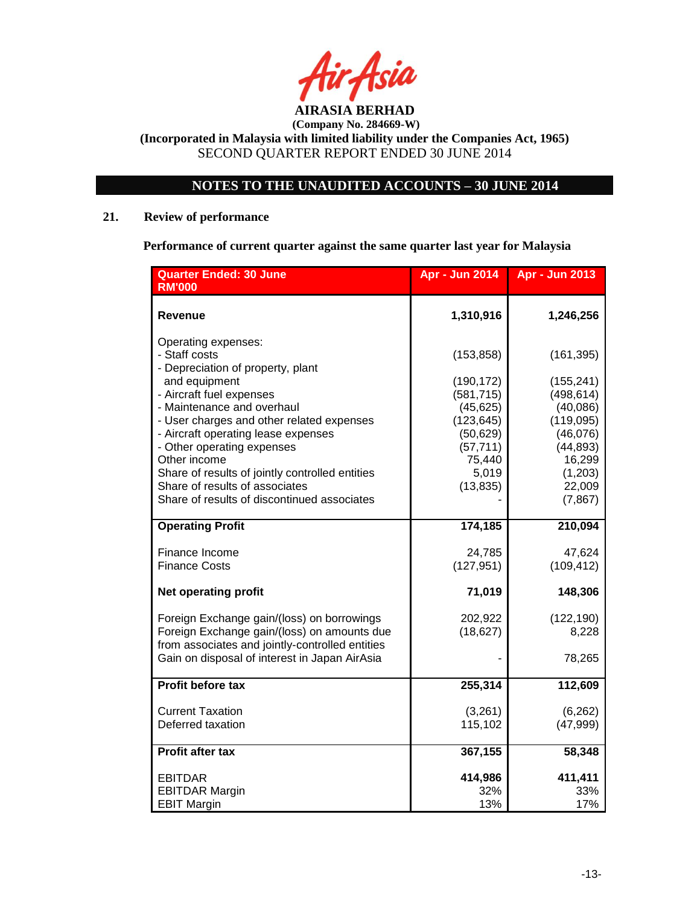

# **NOTES TO THE UNAUDITED ACCOUNTS – 30 JUNE 2014**

## **21. Review of performance**

**Performance of current quarter against the same quarter last year for Malaysia**

| <b>Quarter Ended: 30 June</b><br><b>RM'000</b>                                                   | <b>Apr - Jun 2014</b>    | <b>Apr - Jun 2013</b>    |
|--------------------------------------------------------------------------------------------------|--------------------------|--------------------------|
| Revenue                                                                                          | 1,310,916                | 1,246,256                |
| Operating expenses:<br>- Staff costs<br>- Depreciation of property, plant                        | (153, 858)               | (161, 395)               |
| and equipment<br>- Aircraft fuel expenses                                                        | (190, 172)<br>(581, 715) | (155, 241)<br>(498, 614) |
| - Maintenance and overhaul<br>- User charges and other related expenses                          | (45, 625)<br>(123, 645)  | (40,086)<br>(119,095)    |
| - Aircraft operating lease expenses<br>- Other operating expenses                                | (50, 629)<br>(57, 711)   | (46,076)<br>(44, 893)    |
| Other income<br>Share of results of jointly controlled entities                                  | 75,440<br>5,019          | 16,299<br>(1,203)        |
| Share of results of associates<br>Share of results of discontinued associates                    | (13, 835)                | 22,009<br>(7, 867)       |
| <b>Operating Profit</b>                                                                          | 174,185                  | 210,094                  |
| Finance Income<br><b>Finance Costs</b>                                                           | 24,785<br>(127, 951)     | 47,624<br>(109, 412)     |
| <b>Net operating profit</b>                                                                      | 71,019                   | 148,306                  |
| Foreign Exchange gain/(loss) on borrowings<br>Foreign Exchange gain/(loss) on amounts due        | 202,922<br>(18, 627)     | (122, 190)<br>8,228      |
| from associates and jointly-controlled entities<br>Gain on disposal of interest in Japan AirAsia |                          | 78,265                   |
| Profit before tax                                                                                | 255,314                  | 112,609                  |
| <b>Current Taxation</b><br>Deferred taxation                                                     | (3,261)<br>115,102       | (6, 262)<br>(47,999)     |
| Profit after tax                                                                                 | 367,155                  | 58,348                   |
| <b>EBITDAR</b><br><b>EBITDAR Margin</b>                                                          | 414,986<br>32%           | 411,411<br>33%           |
| <b>EBIT Margin</b>                                                                               | 13%                      | 17%                      |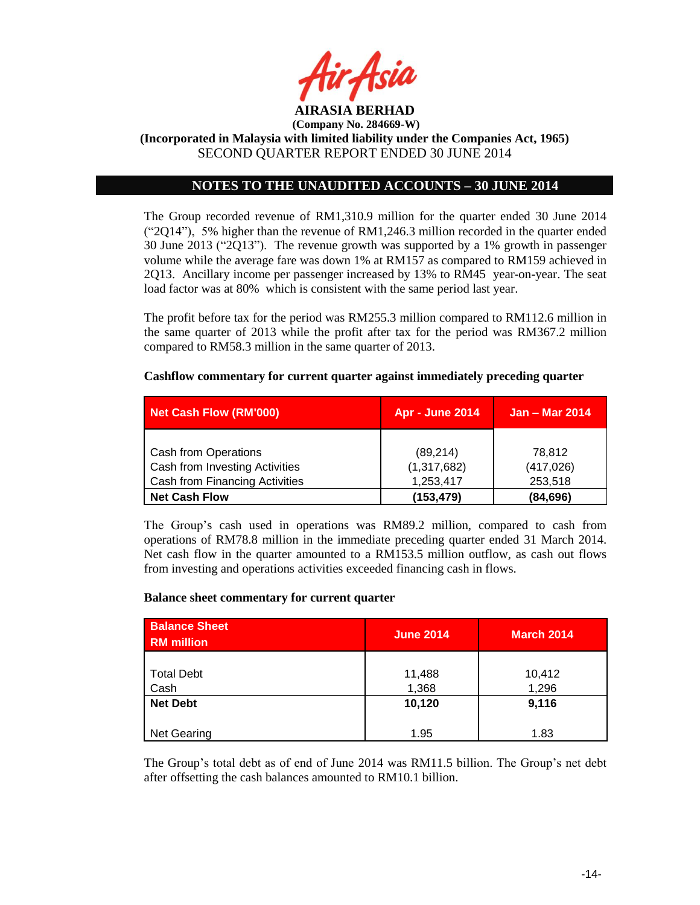

**(Incorporated in Malaysia with limited liability under the Companies Act, 1965)** SECOND QUARTER REPORT ENDED 30 JUNE 2014

## **NOTES TO THE UNAUDITED ACCOUNTS – 30 JUNE 2014**

The Group recorded revenue of RM1,310.9 million for the quarter ended 30 June 2014  $("2Q14")$ , 5% higher than the revenue of RM1,246.3 million recorded in the quarter ended 30 June 2013 ("2Q13"). The revenue growth was supported by a 1% growth in passenger volume while the average fare was down 1% at RM157 as compared to RM159 achieved in 2Q13. Ancillary income per passenger increased by 13% to RM45 year-on-year. The seat load factor was at 80% which is consistent with the same period last year.

The profit before tax for the period was RM255.3 million compared to RM112.6 million in the same quarter of 2013 while the profit after tax for the period was RM367.2 million compared to RM58.3 million in the same quarter of 2013.

| Net Cash Flow (RM'000)         | <b>Apr - June 2014</b> | <b>Jan – Mar 2014</b> |
|--------------------------------|------------------------|-----------------------|
|                                |                        |                       |
| <b>Cash from Operations</b>    | (89,214)               | 78.812                |
| Cash from Investing Activities | (1,317,682)            | (417, 026)            |
| Cash from Financing Activities | 1,253,417              | 253,518               |
| <b>Net Cash Flow</b>           | (153, 479)             | (84, 696)             |

**Cashflow commentary for current quarter against immediately preceding quarter**

The Group's cash used in operations was RM89.2 million, compared to cash from operations of RM78.8 million in the immediate preceding quarter ended 31 March 2014. Net cash flow in the quarter amounted to a RM153.5 million outflow, as cash out flows from investing and operations activities exceeded financing cash in flows.

### **Balance sheet commentary for current quarter**

| <b>Balance Sheet</b><br><b>RM</b> million | <b>June 2014</b> | <b>March 2014</b> |
|-------------------------------------------|------------------|-------------------|
| <b>Total Debt</b><br>Cash                 | 11,488<br>1,368  | 10,412<br>1,296   |
| <b>Net Debt</b>                           | 10,120           | 9,116             |
| Net Gearing                               | 1.95             | 1.83              |

The Group's total debt as of end of June 2014 was RM11.5 billion. The Group's net debt after offsetting the cash balances amounted to RM10.1 billion.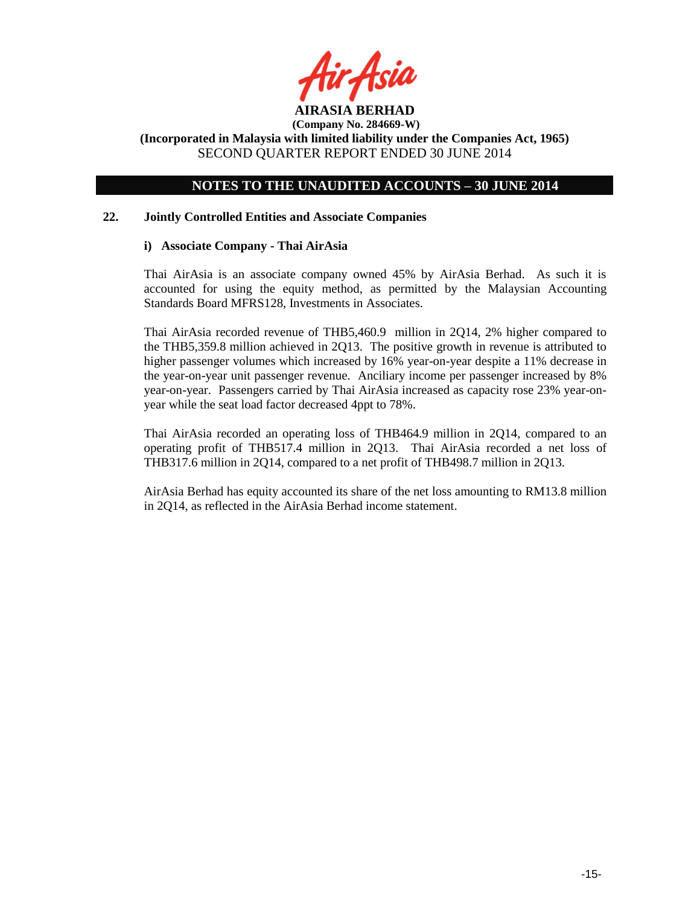

# **NOTES TO THE UNAUDITED ACCOUNTS – 30 JUNE 2014**

## **22. Jointly Controlled Entities and Associate Companies**

### **i) Associate Company - Thai AirAsia**

Thai AirAsia is an associate company owned 45% by AirAsia Berhad. As such it is accounted for using the equity method, as permitted by the Malaysian Accounting Standards Board MFRS128, Investments in Associates.

Thai AirAsia recorded revenue of THB5,460.9 million in 2Q14, 2% higher compared to the THB5,359.8 million achieved in 2Q13. The positive growth in revenue is attributed to higher passenger volumes which increased by 16% year-on-year despite a 11% decrease in the year-on-year unit passenger revenue. Anciliary income per passenger increased by 8% year-on-year. Passengers carried by Thai AirAsia increased as capacity rose 23% year-onyear while the seat load factor decreased 4ppt to 78%.

Thai AirAsia recorded an operating loss of THB464.9 million in 2Q14, compared to an operating profit of THB517.4 million in 2Q13. Thai AirAsia recorded a net loss of THB317.6 million in 2Q14, compared to a net profit of THB498.7 million in 2Q13.

AirAsia Berhad has equity accounted its share of the net loss amounting to RM13.8 million in 2Q14, as reflected in the AirAsia Berhad income statement.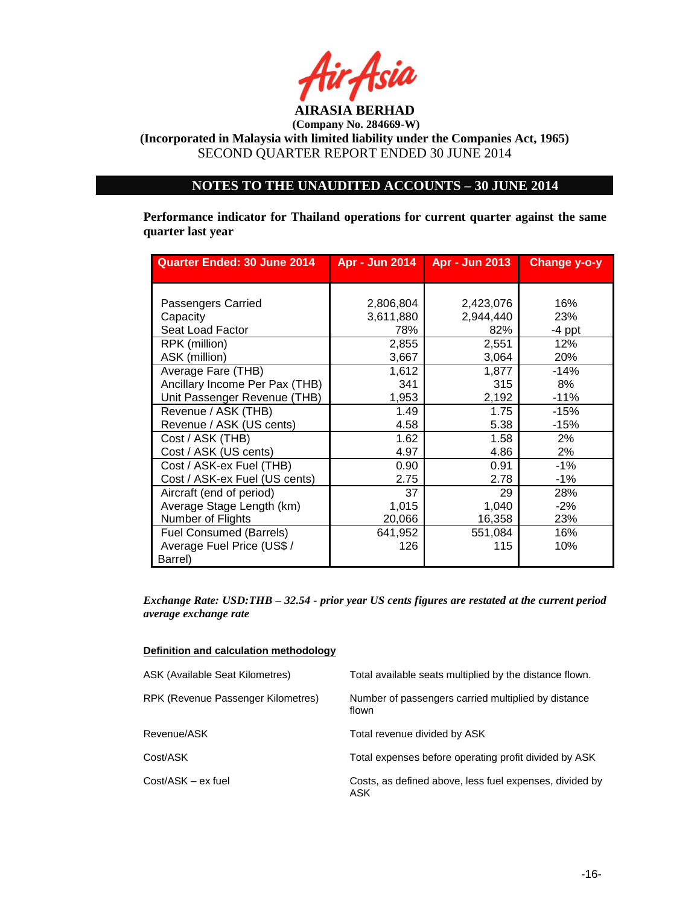

**(Incorporated in Malaysia with limited liability under the Companies Act, 1965)** SECOND QUARTER REPORT ENDED 30 JUNE 2014

## **NOTES TO THE UNAUDITED ACCOUNTS – 30 JUNE 2014**

**Performance indicator for Thailand operations for current quarter against the same quarter last year**

| <b>Quarter Ended: 30 June 2014</b> | Apr - Jun 2014   | <b>Apr - Jun 2013</b> | Change y-o-y  |
|------------------------------------|------------------|-----------------------|---------------|
|                                    |                  |                       |               |
| Passengers Carried                 | 2,806,804        | 2,423,076             | 16%           |
| Capacity<br>Seat Load Factor       | 3,611,880<br>78% | 2,944,440<br>82%      | 23%<br>-4 ppt |
| RPK (million)                      | 2,855            | 2,551                 | 12%           |
| ASK (million)                      | 3,667            | 3,064                 | 20%           |
| Average Fare (THB)                 | 1,612            | 1,877                 | $-14%$        |
| Ancillary Income Per Pax (THB)     | 341              | 315                   | 8%            |
| Unit Passenger Revenue (THB)       | 1,953            | 2,192                 | $-11%$        |
| Revenue / ASK (THB)                | 1.49             | 1.75                  | $-15%$        |
| Revenue / ASK (US cents)           | 4.58             | 5.38                  | $-15%$        |
| Cost / ASK (THB)                   | 1.62             | 1.58                  | 2%            |
| Cost / ASK (US cents)              | 4.97             | 4.86                  | 2%            |
| Cost / ASK-ex Fuel (THB)           | 0.90             | 0.91                  | $-1%$         |
| Cost / ASK-ex Fuel (US cents)      | 2.75             | 2.78                  | $-1%$         |
| Aircraft (end of period)           | 37               | 29                    | 28%           |
| Average Stage Length (km)          | 1,015            | 1,040                 | $-2\%$        |
| Number of Flights                  | 20,066           | 16,358                | 23%           |
| <b>Fuel Consumed (Barrels)</b>     | 641,952          | 551,084               | 16%           |
| Average Fuel Price (US\$ /         | 126              | 115                   | 10%           |
| Barrel)                            |                  |                       |               |

*Exchange Rate: USD:THB – 32.54 - prior year US cents figures are restated at the current period average exchange rate*

#### **Definition and calculation methodology**

| ASK (Available Seat Kilometres)    | Total available seats multiplied by the distance flown.        |
|------------------------------------|----------------------------------------------------------------|
| RPK (Revenue Passenger Kilometres) | Number of passengers carried multiplied by distance<br>flown   |
| Revenue/ASK                        | Total revenue divided by ASK                                   |
| Cost/ASK                           | Total expenses before operating profit divided by ASK          |
| $Cost/ASK - ex fuel$               | Costs, as defined above, less fuel expenses, divided by<br>ASK |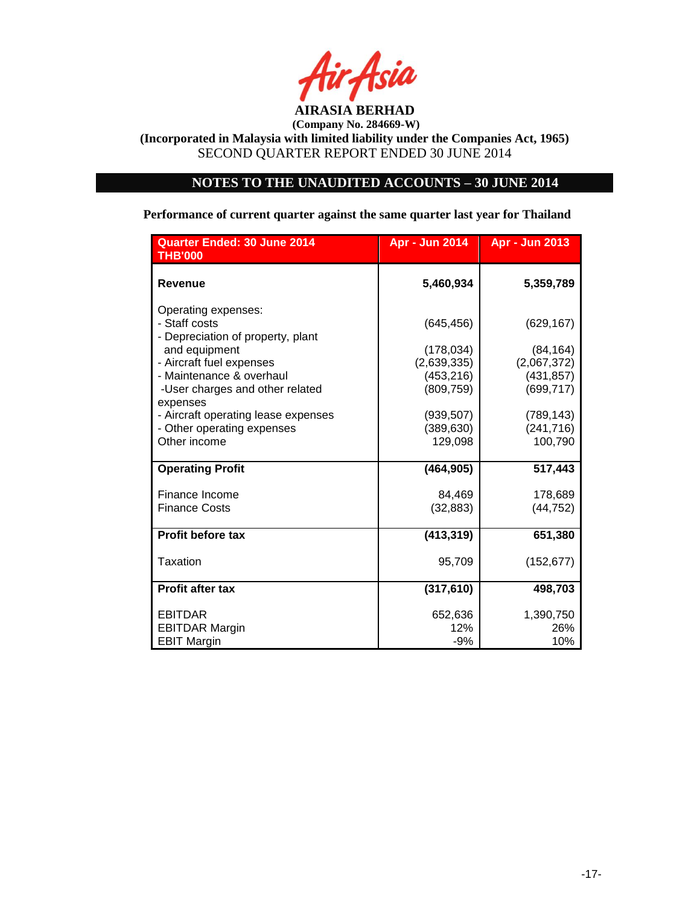

**(Incorporated in Malaysia with limited liability under the Companies Act, 1965)** SECOND QUARTER REPORT ENDED 30 JUNE 2014

# **NOTES TO THE UNAUDITED ACCOUNTS – 30 JUNE 2014**

**Performance of current quarter against the same quarter last year for Thailand**

| Quarter Ended: 30 June 2014<br><b>THB'000</b>                             | Apr - Jun 2014            | <b>Apr - Jun 2013</b>    |
|---------------------------------------------------------------------------|---------------------------|--------------------------|
| <b>Revenue</b>                                                            | 5,460,934                 | 5,359,789                |
| Operating expenses:<br>- Staff costs<br>- Depreciation of property, plant | (645, 456)                | (629, 167)               |
| and equipment<br>- Aircraft fuel expenses                                 | (178, 034)<br>(2,639,335) | (84, 164)<br>(2,067,372) |
| - Maintenance & overhaul<br>-User charges and other related<br>expenses   | (453, 216)<br>(809, 759)  | (431, 857)<br>(699, 717) |
| - Aircraft operating lease expenses<br>- Other operating expenses         | (939, 507)<br>(389, 630)  | (789, 143)<br>(241, 716) |
| Other income                                                              | 129,098                   | 100,790                  |
| <b>Operating Profit</b>                                                   | (464, 905)                | 517,443                  |
| Finance Income<br><b>Finance Costs</b>                                    | 84,469<br>(32, 883)       | 178,689<br>(44, 752)     |
| <b>Profit before tax</b>                                                  | (413, 319)                | 651,380                  |
| Taxation                                                                  | 95,709                    | (152, 677)               |
| <b>Profit after tax</b>                                                   | (317, 610)                | 498,703                  |
| <b>EBITDAR</b><br><b>EBITDAR Margin</b>                                   | 652,636<br>12%            | 1,390,750<br>26%         |
| <b>EBIT Margin</b>                                                        | $-9%$                     | 10%                      |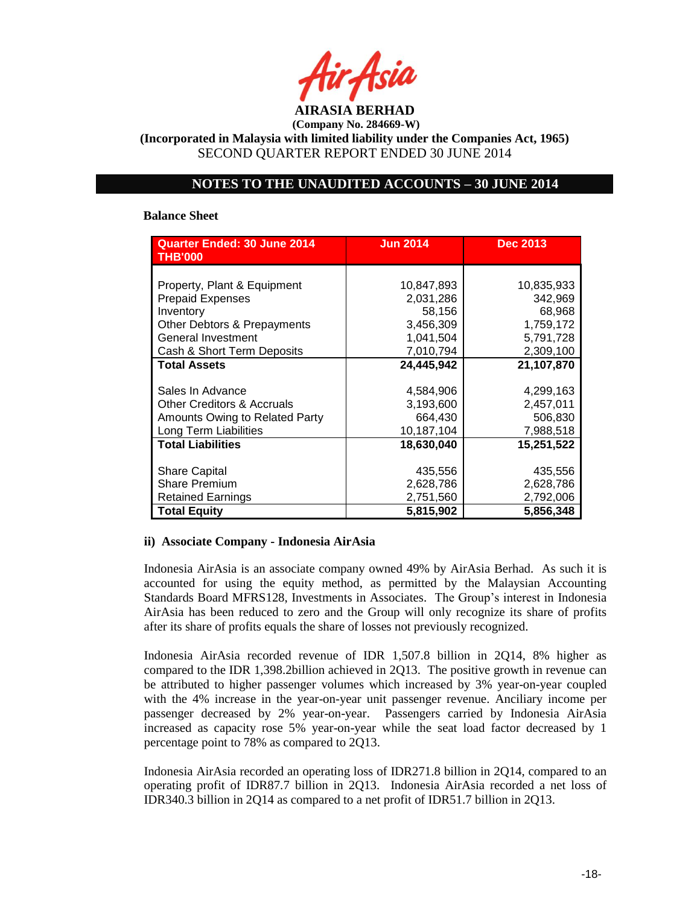**AIRASIA BERHAD** 

**(Incorporated in Malaysia with limited liability under the Companies Act, 1965)** SECOND QUARTER REPORT ENDED 30 JUNE 2014

## **NOTES TO THE UNAUDITED ACCOUNTS – 30 JUNE 2014**

#### **Balance Sheet**

| <b>Quarter Ended: 30 June 2014</b><br><b>THB'000</b> | <b>Jun 2014</b> | <b>Dec 2013</b> |
|------------------------------------------------------|-----------------|-----------------|
|                                                      |                 |                 |
| Property, Plant & Equipment                          | 10,847,893      | 10,835,933      |
| <b>Prepaid Expenses</b>                              | 2,031,286       | 342,969         |
| Inventory                                            | 58,156          | 68,968          |
| Other Debtors & Prepayments                          | 3,456,309       | 1,759,172       |
| General Investment                                   | 1,041,504       | 5,791,728       |
| Cash & Short Term Deposits                           | 7,010,794       | 2,309,100       |
| <b>Total Assets</b>                                  | 24,445,942      | 21,107,870      |
|                                                      |                 |                 |
| Sales In Advance                                     | 4,584,906       | 4,299,163       |
| <b>Other Creditors &amp; Accruals</b>                | 3,193,600       | 2,457,011       |
| Amounts Owing to Related Party                       | 664,430         | 506,830         |
| Long Term Liabilities                                | 10,187,104      | 7,988,518       |
| <b>Total Liabilities</b>                             | 18,630,040      | 15,251,522      |
|                                                      |                 |                 |
| <b>Share Capital</b>                                 | 435,556         | 435,556         |
| <b>Share Premium</b>                                 | 2,628,786       | 2,628,786       |
| <b>Retained Earnings</b>                             | 2,751,560       | 2,792,006       |
| <b>Total Equity</b>                                  | 5,815,902       | 5,856,348       |

#### **ii) Associate Company - Indonesia AirAsia**

Indonesia AirAsia is an associate company owned 49% by AirAsia Berhad. As such it is accounted for using the equity method, as permitted by the Malaysian Accounting Standards Board MFRS128, Investments in Associates. The Group's interest in Indonesia AirAsia has been reduced to zero and the Group will only recognize its share of profits after its share of profits equals the share of losses not previously recognized.

Indonesia AirAsia recorded revenue of IDR 1,507.8 billion in 2Q14, 8% higher as compared to the IDR 1,398.2billion achieved in 2Q13. The positive growth in revenue can be attributed to higher passenger volumes which increased by 3% year-on-year coupled with the 4% increase in the year-on-year unit passenger revenue. Anciliary income per passenger decreased by 2% year-on-year. Passengers carried by Indonesia AirAsia increased as capacity rose 5% year-on-year while the seat load factor decreased by 1 percentage point to 78% as compared to 2Q13.

Indonesia AirAsia recorded an operating loss of IDR271.8 billion in 2Q14, compared to an operating profit of IDR87.7 billion in 2Q13. Indonesia AirAsia recorded a net loss of IDR340.3 billion in 2Q14 as compared to a net profit of IDR51.7 billion in 2Q13.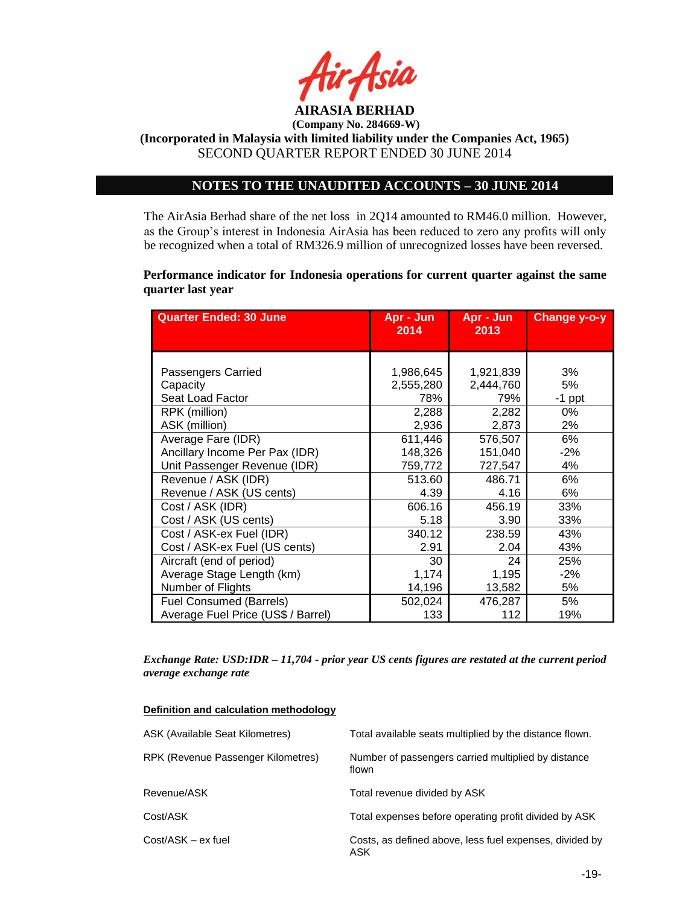

**(Incorporated in Malaysia with limited liability under the Companies Act, 1965)** SECOND QUARTER REPORT ENDED 30 JUNE 2014

## **NOTES TO THE UNAUDITED ACCOUNTS – 30 JUNE 2014**

The AirAsia Berhad share of the net loss in 2Q14 amounted to RM46.0 million. However, as the Group's interest in Indonesia AirAsia has been reduced to zero any profits will only be recognized when a total of RM326.9 million of unrecognized losses have been reversed.

**Performance indicator for Indonesia operations for current quarter against the same quarter last year**

| <b>Quarter Ended: 30 June</b>      | Apr - Jun<br>2014 | Apr - Jun<br>2013 | Change y-o-y |
|------------------------------------|-------------------|-------------------|--------------|
|                                    |                   |                   |              |
|                                    |                   |                   |              |
| Passengers Carried                 | 1,986,645         | 1,921,839         | 3%           |
| Capacity                           | 2,555,280         | 2,444,760         | 5%           |
| Seat Load Factor                   | 78%               | 79%               | $-1$ ppt     |
| RPK (million)                      | 2,288             | 2,282             | 0%           |
| ASK (million)                      | 2,936             | 2,873             | 2%           |
| Average Fare (IDR)                 | 611,446           | 576,507           | 6%           |
| Ancillary Income Per Pax (IDR)     | 148,326           | 151,040           | $-2%$        |
| Unit Passenger Revenue (IDR)       | 759,772           | 727,547           | 4%           |
| Revenue / ASK (IDR)                | 513.60            | 486.71            | 6%           |
| Revenue / ASK (US cents)           | 4.39              | 4.16              | 6%           |
| Cost / ASK (IDR)                   | 606.16            | 456.19            | 33%          |
| Cost / ASK (US cents)              | 5.18              | 3.90              | 33%          |
| Cost / ASK-ex Fuel (IDR)           | 340.12            | 238.59            | 43%          |
| Cost / ASK-ex Fuel (US cents)      | 2.91              | 2.04              | 43%          |
| Aircraft (end of period)           | 30                | 24                | 25%          |
| Average Stage Length (km)          | 1,174             | 1,195             | $-2%$        |
| Number of Flights                  | 14,196            | 13,582            | 5%           |
| <b>Fuel Consumed (Barrels)</b>     | 502,024           | 476,287           | 5%           |
| Average Fuel Price (US\$ / Barrel) | 133               | 112               | 19%          |

*Exchange Rate: USD:IDR – 11,704 - prior year US cents figures are restated at the current period average exchange rate*

#### **Definition and calculation methodology**

| ASK (Available Seat Kilometres)    | Total available seats multiplied by the distance flown.        |
|------------------------------------|----------------------------------------------------------------|
| RPK (Revenue Passenger Kilometres) | Number of passengers carried multiplied by distance<br>flown   |
| Revenue/ASK                        | Total revenue divided by ASK                                   |
| Cost/ASK                           | Total expenses before operating profit divided by ASK          |
| Cost/ASK - ex fuel                 | Costs, as defined above, less fuel expenses, divided by<br>ASK |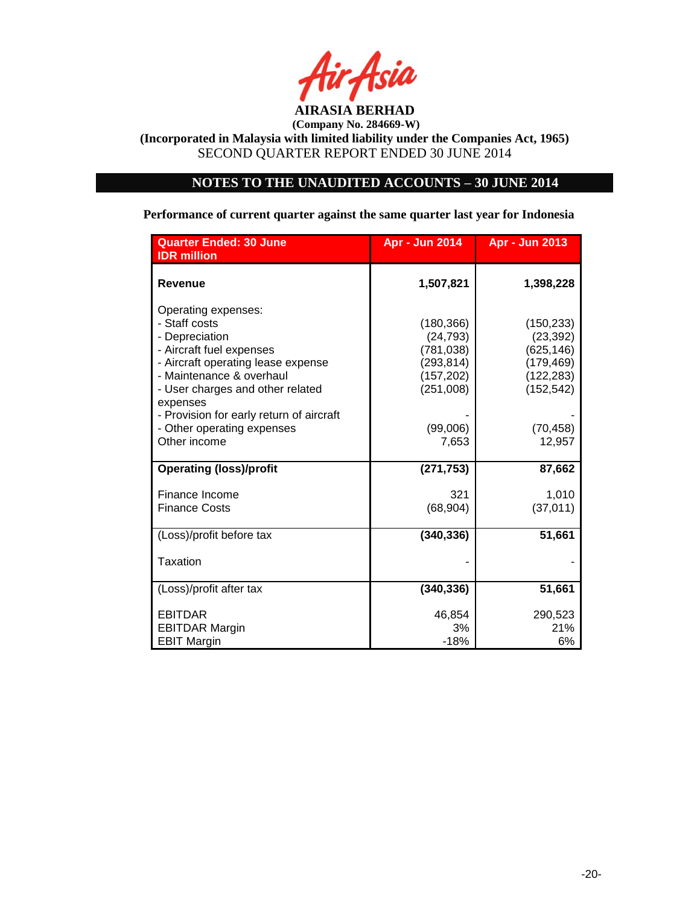

**(Incorporated in Malaysia with limited liability under the Companies Act, 1965)** SECOND QUARTER REPORT ENDED 30 JUNE 2014

## **NOTES TO THE UNAUDITED ACCOUNTS – 30 JUNE 2014**

**Performance of current quarter against the same quarter last year for Indonesia**

| <b>Quarter Ended: 30 June</b><br><b>IDR</b> million                                                                                                                                                                                              | Apr - Jun 2014                                                                 | Apr - Jun 2013                                                                 |
|--------------------------------------------------------------------------------------------------------------------------------------------------------------------------------------------------------------------------------------------------|--------------------------------------------------------------------------------|--------------------------------------------------------------------------------|
| <b>Revenue</b>                                                                                                                                                                                                                                   | 1,507,821                                                                      | 1,398,228                                                                      |
| Operating expenses:<br>- Staff costs<br>- Depreciation<br>- Aircraft fuel expenses<br>- Aircraft operating lease expense<br>- Maintenance & overhaul<br>- User charges and other related<br>expenses<br>- Provision for early return of aircraft | (180, 366)<br>(24, 793)<br>(781, 038)<br>(293, 814)<br>(157, 202)<br>(251,008) | (150, 233)<br>(23, 392)<br>(625, 146)<br>(179,469)<br>(122, 283)<br>(152, 542) |
| - Other operating expenses<br>Other income                                                                                                                                                                                                       | (99,006)<br>7,653                                                              | (70, 458)<br>12,957                                                            |
| <b>Operating (loss)/profit</b>                                                                                                                                                                                                                   | (271, 753)                                                                     | 87,662                                                                         |
| Finance Income<br><b>Finance Costs</b>                                                                                                                                                                                                           | 321<br>(68, 904)                                                               | 1,010<br>(37, 011)                                                             |
| (Loss)/profit before tax                                                                                                                                                                                                                         | (340, 336)                                                                     | 51,661                                                                         |
| Taxation                                                                                                                                                                                                                                         |                                                                                |                                                                                |
| (Loss)/profit after tax                                                                                                                                                                                                                          | (340, 336)                                                                     | 51,661                                                                         |
| <b>EBITDAR</b><br><b>EBITDAR Margin</b><br><b>EBIT Margin</b>                                                                                                                                                                                    | 46,854<br>3%<br>$-18%$                                                         | 290,523<br>21%<br>6%                                                           |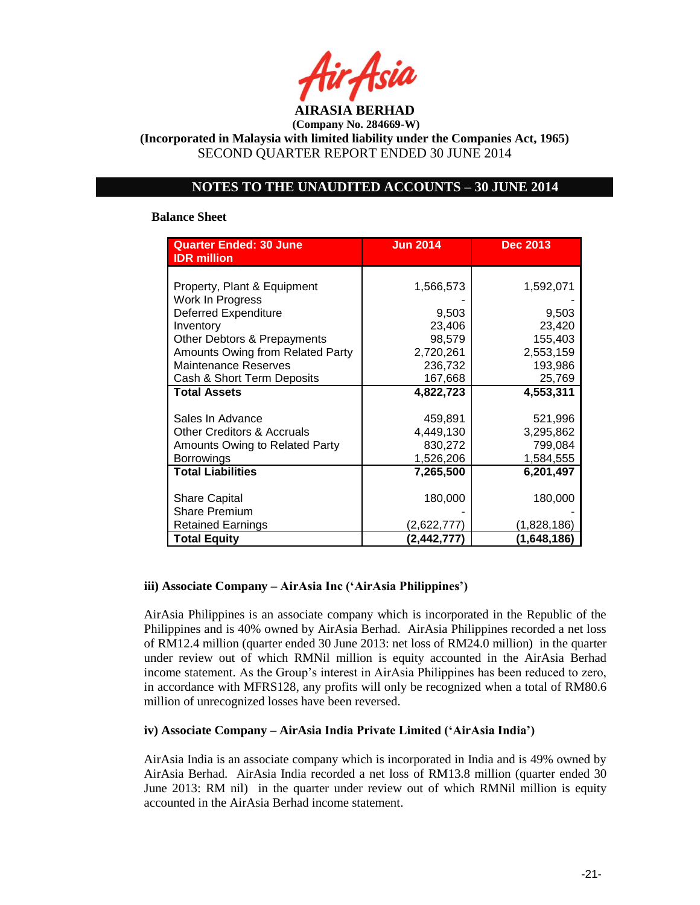

**(Incorporated in Malaysia with limited liability under the Companies Act, 1965)** SECOND QUARTER REPORT ENDED 30 JUNE 2014

## **NOTES TO THE UNAUDITED ACCOUNTS – 30 JUNE 2014**

#### **Balance Sheet**

| <b>Quarter Ended: 30 June</b><br><b>IDR</b> million | <b>Jun 2014</b> | <b>Dec 2013</b> |
|-----------------------------------------------------|-----------------|-----------------|
|                                                     |                 |                 |
| Property, Plant & Equipment                         | 1,566,573       | 1,592,071       |
| Work In Progress                                    |                 |                 |
| <b>Deferred Expenditure</b>                         | 9,503           | 9,503           |
| Inventory                                           | 23,406          | 23,420          |
| Other Debtors & Prepayments                         | 98,579          | 155,403         |
| Amounts Owing from Related Party                    | 2,720,261       | 2,553,159       |
| <b>Maintenance Reserves</b>                         | 236,732         | 193,986         |
| Cash & Short Term Deposits                          | 167,668         | 25,769          |
| <b>Total Assets</b>                                 | 4,822,723       | 4,553,311       |
|                                                     |                 |                 |
| Sales In Advance                                    | 459,891         | 521,996         |
| <b>Other Creditors &amp; Accruals</b>               | 4,449,130       | 3,295,862       |
| Amounts Owing to Related Party                      | 830,272         | 799,084         |
| <b>Borrowings</b>                                   | 1,526,206       | 1,584,555       |
| <b>Total Liabilities</b>                            | 7,265,500       | 6,201,497       |
|                                                     |                 |                 |
| <b>Share Capital</b>                                | 180,000         | 180,000         |
| <b>Share Premium</b>                                |                 |                 |
| <b>Retained Earnings</b>                            | (2,622,777)     | (1,828,186)     |
| <b>Total Equity</b>                                 | (2,442,777)     | (1,648,186)     |

### **iii) Associate Company – AirAsia Inc ('AirAsia Philippines')**

AirAsia Philippines is an associate company which is incorporated in the Republic of the Philippines and is 40% owned by AirAsia Berhad. AirAsia Philippines recorded a net loss of RM12.4 million (quarter ended 30 June 2013: net loss of RM24.0 million) in the quarter under review out of which RMNil million is equity accounted in the AirAsia Berhad income statement. As the Group's interest in AirAsia Philippines has been reduced to zero, in accordance with MFRS128, any profits will only be recognized when a total of RM80.6 million of unrecognized losses have been reversed.

### **iv) Associate Company – AirAsia India Private Limited ('AirAsia India')**

AirAsia India is an associate company which is incorporated in India and is 49% owned by AirAsia Berhad. AirAsia India recorded a net loss of RM13.8 million (quarter ended 30 June 2013: RM nil) in the quarter under review out of which RMNil million is equity accounted in the AirAsia Berhad income statement.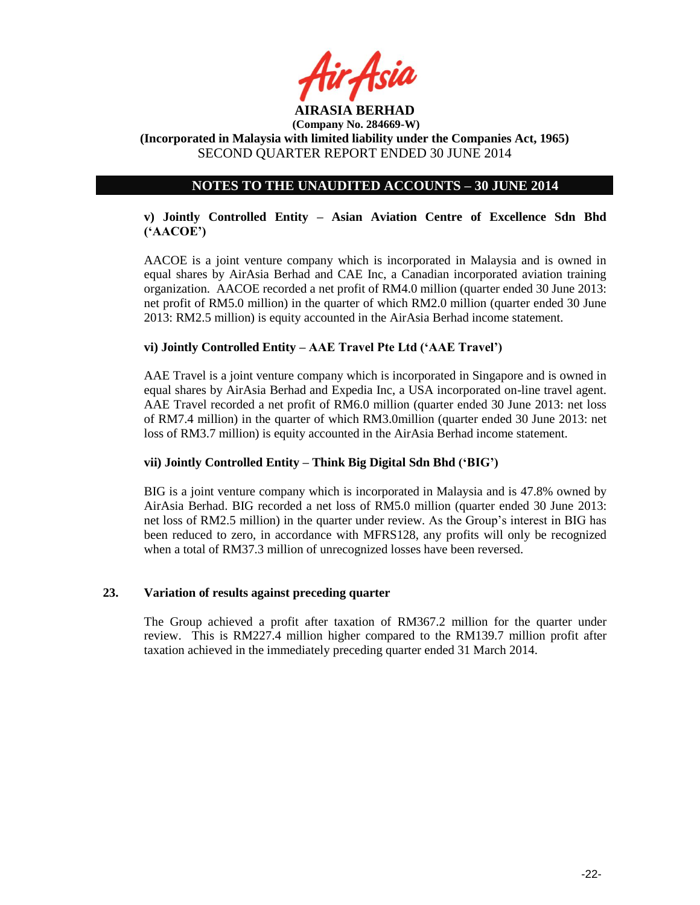

## **NOTES TO THE UNAUDITED ACCOUNTS – 30 JUNE 2014**

## **v) Jointly Controlled Entity – Asian Aviation Centre of Excellence Sdn Bhd ('AACOE')**

AACOE is a joint venture company which is incorporated in Malaysia and is owned in equal shares by AirAsia Berhad and CAE Inc, a Canadian incorporated aviation training organization. AACOE recorded a net profit of RM4.0 million (quarter ended 30 June 2013: net profit of RM5.0 million) in the quarter of which RM2.0 million (quarter ended 30 June 2013: RM2.5 million) is equity accounted in the AirAsia Berhad income statement.

### **vi) Jointly Controlled Entity – AAE Travel Pte Ltd ('AAE Travel')**

AAE Travel is a joint venture company which is incorporated in Singapore and is owned in equal shares by AirAsia Berhad and Expedia Inc, a USA incorporated on-line travel agent. AAE Travel recorded a net profit of RM6.0 million (quarter ended 30 June 2013: net loss of RM7.4 million) in the quarter of which RM3.0million (quarter ended 30 June 2013: net loss of RM3.7 million) is equity accounted in the AirAsia Berhad income statement.

## **vii) Jointly Controlled Entity – Think Big Digital Sdn Bhd ('BIG')**

BIG is a joint venture company which is incorporated in Malaysia and is 47.8% owned by AirAsia Berhad. BIG recorded a net loss of RM5.0 million (quarter ended 30 June 2013: net loss of RM2.5 million) in the quarter under review. As the Group's interest in BIG has been reduced to zero, in accordance with MFRS128, any profits will only be recognized when a total of RM37.3 million of unrecognized losses have been reversed.

### **23. Variation of results against preceding quarter**

The Group achieved a profit after taxation of RM367.2 million for the quarter under review. This is RM227.4 million higher compared to the RM139.7 million profit after taxation achieved in the immediately preceding quarter ended 31 March 2014.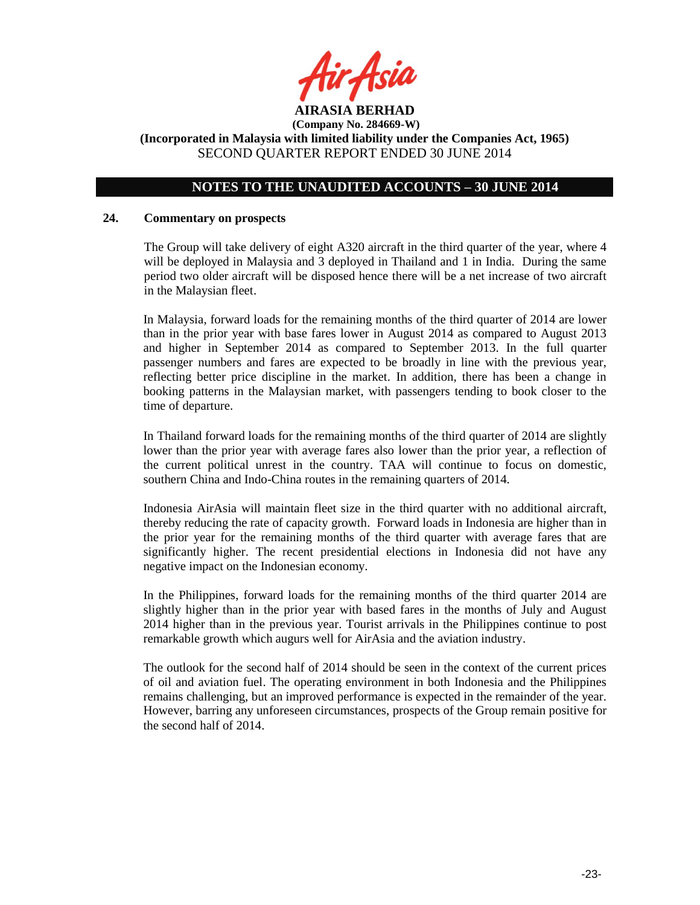

## **NOTES TO THE UNAUDITED ACCOUNTS – 30 JUNE 2014**

#### **24. Commentary on prospects**

The Group will take delivery of eight A320 aircraft in the third quarter of the year, where 4 will be deployed in Malaysia and 3 deployed in Thailand and 1 in India. During the same period two older aircraft will be disposed hence there will be a net increase of two aircraft in the Malaysian fleet.

In Malaysia, forward loads for the remaining months of the third quarter of 2014 are lower than in the prior year with base fares lower in August 2014 as compared to August 2013 and higher in September 2014 as compared to September 2013. In the full quarter passenger numbers and fares are expected to be broadly in line with the previous year, reflecting better price discipline in the market. In addition, there has been a change in booking patterns in the Malaysian market, with passengers tending to book closer to the time of departure.

In Thailand forward loads for the remaining months of the third quarter of 2014 are slightly lower than the prior year with average fares also lower than the prior year, a reflection of the current political unrest in the country. TAA will continue to focus on domestic, southern China and Indo-China routes in the remaining quarters of 2014.

Indonesia AirAsia will maintain fleet size in the third quarter with no additional aircraft, thereby reducing the rate of capacity growth. Forward loads in Indonesia are higher than in the prior year for the remaining months of the third quarter with average fares that are significantly higher. The recent presidential elections in Indonesia did not have any negative impact on the Indonesian economy.

In the Philippines, forward loads for the remaining months of the third quarter 2014 are slightly higher than in the prior year with based fares in the months of July and August 2014 higher than in the previous year. Tourist arrivals in the Philippines continue to post remarkable growth which augurs well for AirAsia and the aviation industry.

The outlook for the second half of 2014 should be seen in the context of the current prices of oil and aviation fuel. The operating environment in both Indonesia and the Philippines remains challenging, but an improved performance is expected in the remainder of the year. However, barring any unforeseen circumstances, prospects of the Group remain positive for the second half of 2014.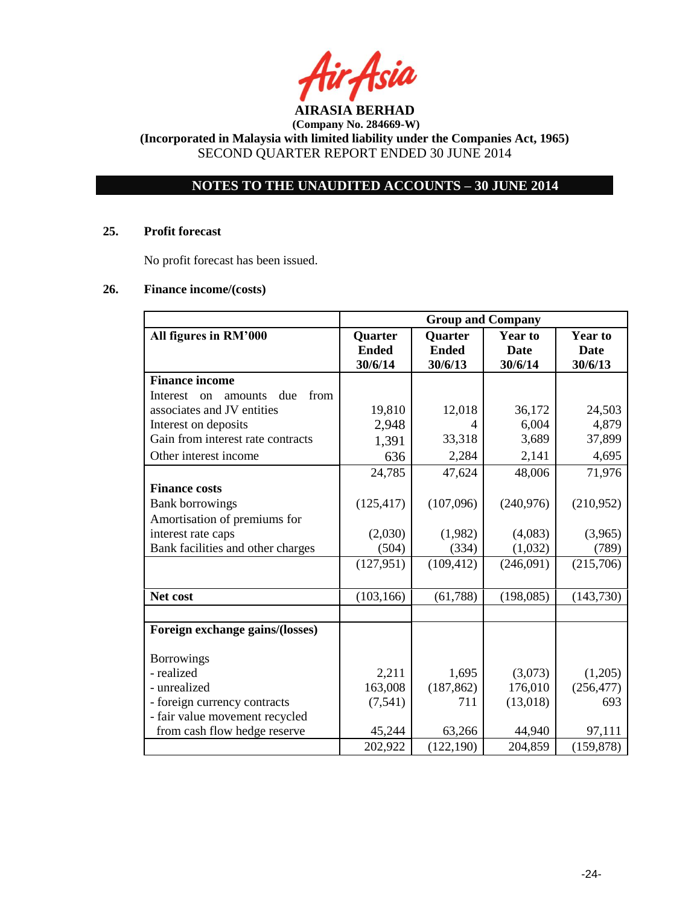**AIRASIA BERHAD** 

# **NOTES TO THE UNAUDITED ACCOUNTS – 30 JUNE 2014**

#### **25. Profit forecast**

No profit forecast has been issued.

#### **26. Finance income/(costs)**

|                                          | <b>Group and Company</b>                    |              |             |                |
|------------------------------------------|---------------------------------------------|--------------|-------------|----------------|
| All figures in RM'000                    | <b>Quarter</b><br><b>Year to</b><br>Quarter |              |             | <b>Year to</b> |
|                                          | <b>Ended</b>                                | <b>Ended</b> | <b>Date</b> | <b>Date</b>    |
|                                          | 30/6/14                                     | 30/6/13      | 30/6/14     | 30/6/13        |
| <b>Finance income</b>                    |                                             |              |             |                |
| from<br>Interest<br>due<br>amounts<br>on |                                             |              |             |                |
| associates and JV entities               | 19,810                                      | 12,018       | 36,172      | 24,503         |
| Interest on deposits                     | 2,948                                       |              | 6,004       | 4,879          |
| Gain from interest rate contracts        | 1,391                                       | 33,318       | 3,689       | 37,899         |
| Other interest income                    | 636                                         | 2,284        | 2,141       | 4,695          |
|                                          | 24,785                                      | 47,624       | 48,006      | 71,976         |
| <b>Finance costs</b>                     |                                             |              |             |                |
| <b>Bank borrowings</b>                   | (125, 417)                                  | (107,096)    | (240,976)   | (210,952)      |
| Amortisation of premiums for             |                                             |              |             |                |
| interest rate caps                       | (2,030)                                     | (1,982)      | (4,083)     | (3,965)        |
| Bank facilities and other charges        | (504)                                       | (334)        | (1,032)     | (789)          |
|                                          | (127, 951)                                  | (109, 412)   | (246,091)   | (215,706)      |
|                                          |                                             |              |             |                |
| Net cost                                 | (103, 166)                                  | (61, 788)    | (198, 085)  | (143, 730)     |
|                                          |                                             |              |             |                |
| Foreign exchange gains/(losses)          |                                             |              |             |                |
| <b>Borrowings</b>                        |                                             |              |             |                |
| - realized                               | 2,211                                       | 1,695        | (3,073)     | (1,205)        |
| - unrealized                             | 163,008                                     | (187, 862)   | 176,010     | (256, 477)     |
| - foreign currency contracts             | (7, 541)                                    | 711          | (13,018)    | 693            |
| - fair value movement recycled           |                                             |              |             |                |
| from cash flow hedge reserve             | 45,244                                      | 63,266       | 44,940      | 97,111         |
|                                          | 202,922                                     | (122, 190)   | 204,859     | (159, 878)     |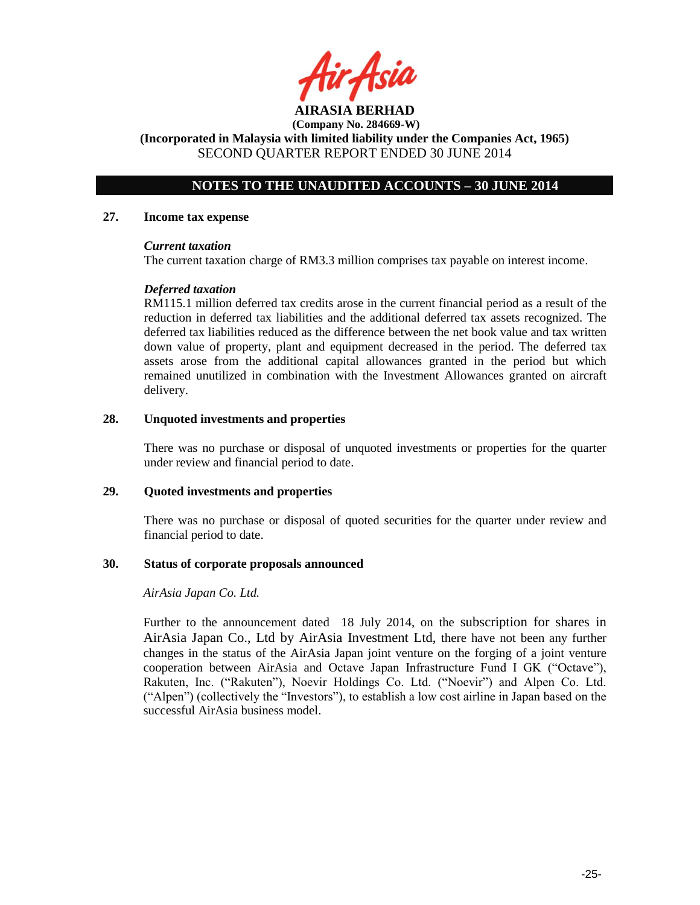## **NOTES TO THE UNAUDITED ACCOUNTS – 30 JUNE 2014**

#### **27. Income tax expense**

#### *Current taxation*

The current taxation charge of RM3.3 million comprises tax payable on interest income.

### *Deferred taxation*

RM115.1 million deferred tax credits arose in the current financial period as a result of the reduction in deferred tax liabilities and the additional deferred tax assets recognized. The deferred tax liabilities reduced as the difference between the net book value and tax written down value of property, plant and equipment decreased in the period. The deferred tax assets arose from the additional capital allowances granted in the period but which remained unutilized in combination with the Investment Allowances granted on aircraft delivery.

#### **28. Unquoted investments and properties**

There was no purchase or disposal of unquoted investments or properties for the quarter under review and financial period to date.

### **29. Quoted investments and properties**

There was no purchase or disposal of quoted securities for the quarter under review and financial period to date.

#### **30. Status of corporate proposals announced**

#### *AirAsia Japan Co. Ltd.*

Further to the announcement dated 18 July 2014, on the subscription for shares in AirAsia Japan Co., Ltd by AirAsia Investment Ltd, there have not been any further changes in the status of the AirAsia Japan joint venture on the forging of a joint venture cooperation between AirAsia and Octave Japan Infrastructure Fund I GK ("Octave"), Rakuten, Inc. ("Rakuten"), Noevir Holdings Co. Ltd. ("Noevir") and Alpen Co. Ltd. ("Alpen") (collectively the "Investors"), to establish a low cost airline in Japan based on the successful AirAsia business model.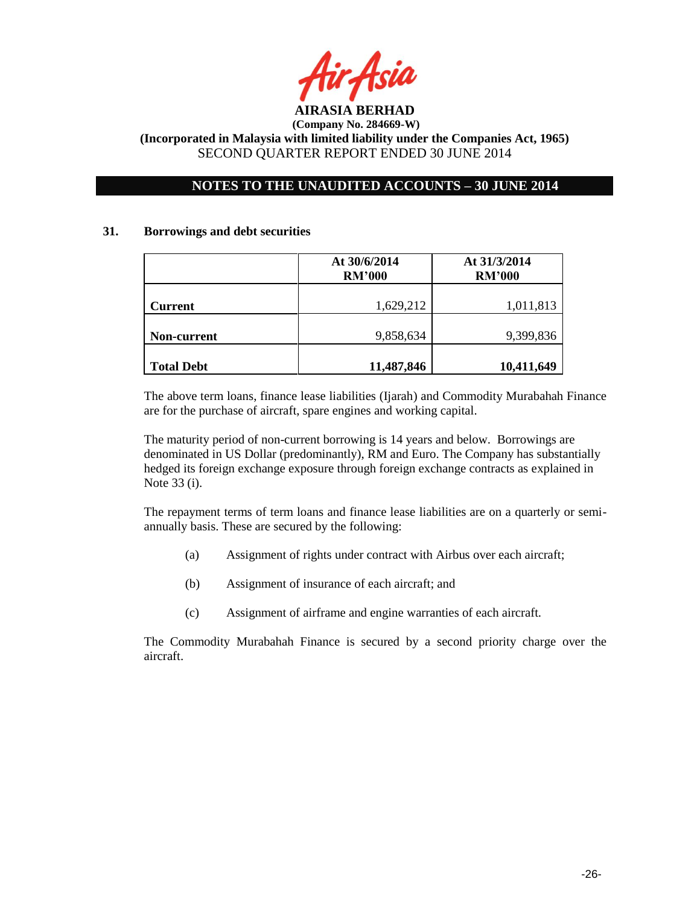

## **NOTES TO THE UNAUDITED ACCOUNTS – 30 JUNE 2014**

#### **31. Borrowings and debt securities**

|                   | At 30/6/2014<br><b>RM'000</b> | At 31/3/2014<br><b>RM'000</b> |
|-------------------|-------------------------------|-------------------------------|
| <b>Current</b>    | 1,629,212                     | 1,011,813                     |
| Non-current       | 9,858,634                     | 9,399,836                     |
| <b>Total Debt</b> | 11,487,846                    | 10,411,649                    |

The above term loans, finance lease liabilities (Ijarah) and Commodity Murabahah Finance are for the purchase of aircraft, spare engines and working capital.

The maturity period of non-current borrowing is 14 years and below. Borrowings are denominated in US Dollar (predominantly), RM and Euro. The Company has substantially hedged its foreign exchange exposure through foreign exchange contracts as explained in Note 33 (i).

The repayment terms of term loans and finance lease liabilities are on a quarterly or semiannually basis. These are secured by the following:

- (a) Assignment of rights under contract with Airbus over each aircraft;
- (b) Assignment of insurance of each aircraft; and
- (c) Assignment of airframe and engine warranties of each aircraft.

The Commodity Murabahah Finance is secured by a second priority charge over the aircraft.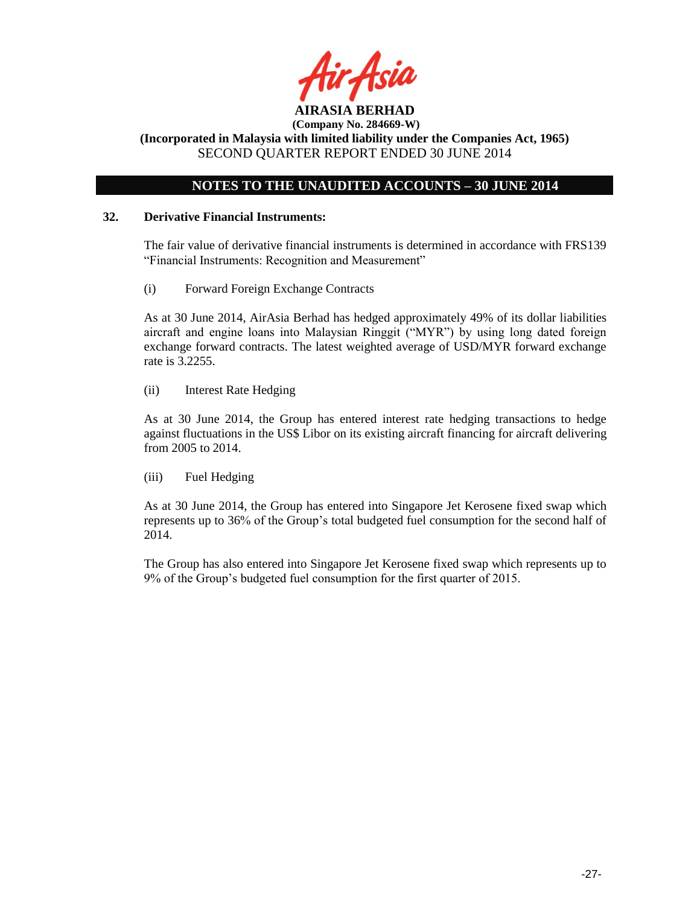

# **NOTES TO THE UNAUDITED ACCOUNTS – 30 JUNE 2014**

### **32. Derivative Financial Instruments:**

The fair value of derivative financial instruments is determined in accordance with FRS139 "Financial Instruments: Recognition and Measurement"

(i) Forward Foreign Exchange Contracts

As at 30 June 2014, AirAsia Berhad has hedged approximately 49% of its dollar liabilities aircraft and engine loans into Malaysian Ringgit ("MYR") by using long dated foreign exchange forward contracts. The latest weighted average of USD/MYR forward exchange rate is 3.2255.

(ii) Interest Rate Hedging

As at 30 June 2014, the Group has entered interest rate hedging transactions to hedge against fluctuations in the US\$ Libor on its existing aircraft financing for aircraft delivering from 2005 to 2014.

(iii) Fuel Hedging

As at 30 June 2014, the Group has entered into Singapore Jet Kerosene fixed swap which represents up to 36% of the Group's total budgeted fuel consumption for the second half of 2014.

The Group has also entered into Singapore Jet Kerosene fixed swap which represents up to 9% of the Group's budgeted fuel consumption for the first quarter of 2015.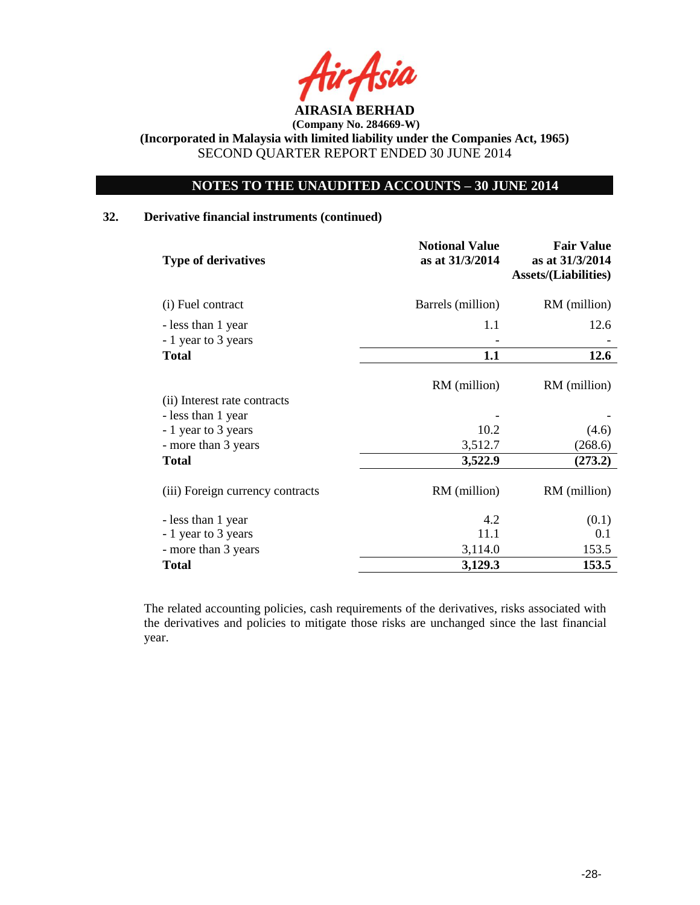

# **NOTES TO THE UNAUDITED ACCOUNTS – 30 JUNE 2014**

## **32. Derivative financial instruments (continued)**

| Barrels (million)<br>RM (million)<br>(i) Fuel contract<br>1.1<br>12.6<br>- less than 1 year<br>- 1 year to 3 years<br>12.6<br>1.1<br><b>Total</b><br>RM (million)<br>RM (million)<br>(ii) Interest rate contracts<br>- less than 1 year<br>10.2<br>- 1 year to 3 years<br>(4.6)<br>3,512.7<br>- more than 3 years<br>(268.6)<br>3,522.9<br><b>Total</b><br>(273.2)<br>RM (million)<br>RM (million)<br>(iii) Foreign currency contracts<br>4.2<br>- less than 1 year<br>(0.1)<br>- 1 year to 3 years<br>11.1<br>0.1<br>3,114.0<br>- more than 3 years<br>153.5<br>3,129.3<br>153.5<br><b>Total</b> | <b>Type of derivatives</b> | <b>Notional Value</b><br>as at 31/3/2014 | <b>Fair Value</b><br>as at 31/3/2014<br><b>Assets/(Liabilities)</b> |
|---------------------------------------------------------------------------------------------------------------------------------------------------------------------------------------------------------------------------------------------------------------------------------------------------------------------------------------------------------------------------------------------------------------------------------------------------------------------------------------------------------------------------------------------------------------------------------------------------|----------------------------|------------------------------------------|---------------------------------------------------------------------|
|                                                                                                                                                                                                                                                                                                                                                                                                                                                                                                                                                                                                   |                            |                                          |                                                                     |
|                                                                                                                                                                                                                                                                                                                                                                                                                                                                                                                                                                                                   |                            |                                          |                                                                     |
|                                                                                                                                                                                                                                                                                                                                                                                                                                                                                                                                                                                                   |                            |                                          |                                                                     |
|                                                                                                                                                                                                                                                                                                                                                                                                                                                                                                                                                                                                   |                            |                                          |                                                                     |
|                                                                                                                                                                                                                                                                                                                                                                                                                                                                                                                                                                                                   |                            |                                          |                                                                     |
|                                                                                                                                                                                                                                                                                                                                                                                                                                                                                                                                                                                                   |                            |                                          |                                                                     |
|                                                                                                                                                                                                                                                                                                                                                                                                                                                                                                                                                                                                   |                            |                                          |                                                                     |
|                                                                                                                                                                                                                                                                                                                                                                                                                                                                                                                                                                                                   |                            |                                          |                                                                     |
|                                                                                                                                                                                                                                                                                                                                                                                                                                                                                                                                                                                                   |                            |                                          |                                                                     |
|                                                                                                                                                                                                                                                                                                                                                                                                                                                                                                                                                                                                   |                            |                                          |                                                                     |
|                                                                                                                                                                                                                                                                                                                                                                                                                                                                                                                                                                                                   |                            |                                          |                                                                     |
|                                                                                                                                                                                                                                                                                                                                                                                                                                                                                                                                                                                                   |                            |                                          |                                                                     |
|                                                                                                                                                                                                                                                                                                                                                                                                                                                                                                                                                                                                   |                            |                                          |                                                                     |
|                                                                                                                                                                                                                                                                                                                                                                                                                                                                                                                                                                                                   |                            |                                          |                                                                     |

The related accounting policies, cash requirements of the derivatives, risks associated with the derivatives and policies to mitigate those risks are unchanged since the last financial year.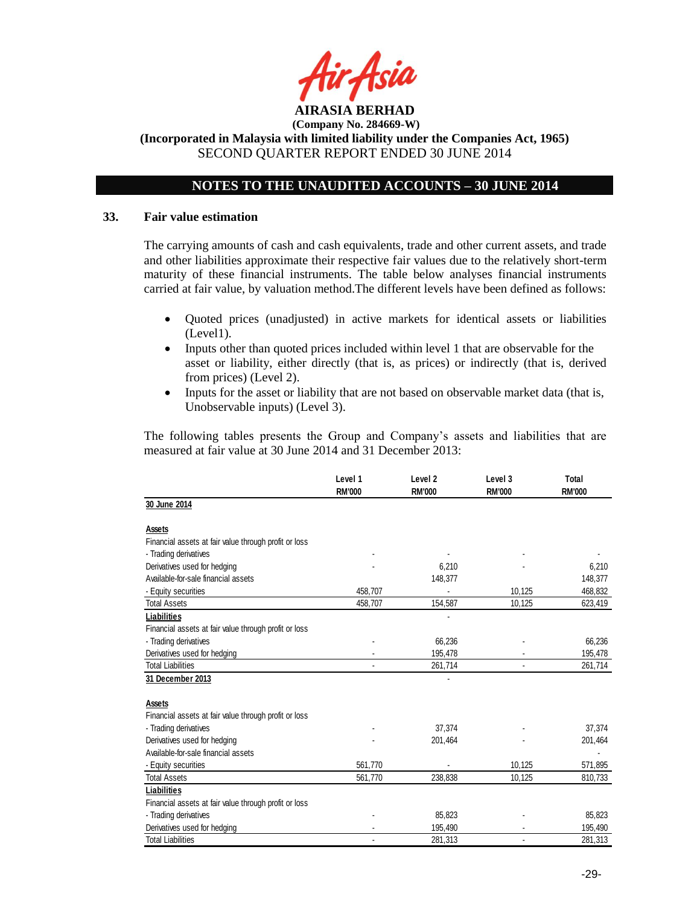

## **NOTES TO THE UNAUDITED ACCOUNTS – 30 JUNE 2014**

#### **33. Fair value estimation**

The carrying amounts of cash and cash equivalents, trade and other current assets, and trade and other liabilities approximate their respective fair values due to the relatively short-term maturity of these financial instruments. The table below analyses financial instruments carried at fair value, by valuation method.The different levels have been defined as follows:

- Quoted prices (unadjusted) in active markets for identical assets or liabilities (Level1).
- Inputs other than quoted prices included within level 1 that are observable for the asset or liability, either directly (that is, as prices) or indirectly (that is, derived from prices) (Level 2).
- Inputs for the asset or liability that are not based on observable market data (that is, Unobservable inputs) (Level 3).

The following tables presents the Group and Company's assets and liabilities that are measured at fair value at 30 June 2014 and 31 December 2013:

|                                                       | Level 1<br><b>RM'000</b> | Level <sub>2</sub><br><b>RM'000</b> | Level 3<br><b>RM'000</b> | Total<br><b>RM'000</b> |
|-------------------------------------------------------|--------------------------|-------------------------------------|--------------------------|------------------------|
| 30 June 2014                                          |                          |                                     |                          |                        |
| Assets                                                |                          |                                     |                          |                        |
| Financial assets at fair value through profit or loss |                          |                                     |                          |                        |
| - Trading derivatives                                 |                          |                                     |                          |                        |
| Derivatives used for hedging                          |                          | 6,210                               |                          | 6,210                  |
| Available-for-sale financial assets                   |                          | 148,377                             |                          | 148,377                |
| - Equity securities                                   | 458,707                  |                                     | 10,125                   | 468,832                |
| <b>Total Assets</b>                                   | 458,707                  | 154,587                             | 10,125                   | 623,419                |
| Liabilities                                           |                          |                                     |                          |                        |
| Financial assets at fair value through profit or loss |                          |                                     |                          |                        |
| - Trading derivatives                                 |                          | 66,236                              |                          | 66,236                 |
| Derivatives used for hedging                          |                          | 195,478                             |                          | 195,478                |
| <b>Total Liabilities</b>                              |                          | 261,714                             |                          | 261,714                |
| 31 December 2013                                      |                          |                                     |                          |                        |
| Assets                                                |                          |                                     |                          |                        |
| Financial assets at fair value through profit or loss |                          |                                     |                          |                        |
| - Trading derivatives                                 |                          | 37,374                              |                          | 37,374                 |
| Derivatives used for hedging                          |                          | 201,464                             |                          | 201,464                |
| Available-for-sale financial assets                   |                          |                                     |                          |                        |
| - Equity securities                                   | 561.770                  |                                     | 10.125                   | 571,895                |
| <b>Total Assets</b>                                   | 561,770                  | 238,838                             | 10,125                   | 810,733                |
| Liabilities                                           |                          |                                     |                          |                        |
| Financial assets at fair value through profit or loss |                          |                                     |                          |                        |
| - Trading derivatives                                 |                          | 85,823                              |                          | 85,823                 |
| Derivatives used for hedging                          |                          | 195,490                             |                          | 195,490                |
| <b>Total Liabilities</b>                              |                          | 281,313                             |                          | 281,313                |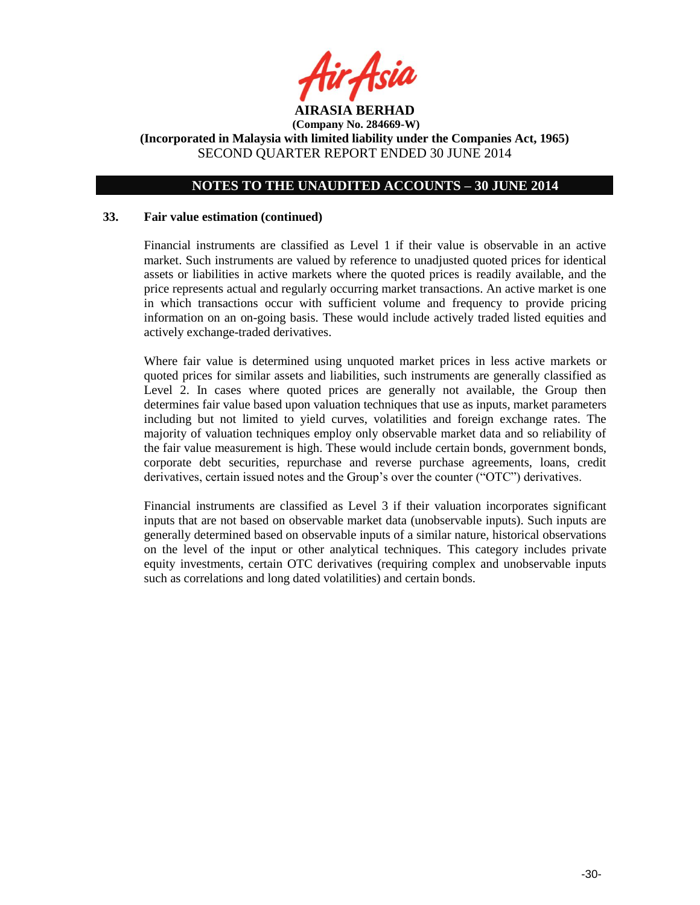

## **NOTES TO THE UNAUDITED ACCOUNTS – 30 JUNE 2014**

### **33. Fair value estimation (continued)**

Financial instruments are classified as Level 1 if their value is observable in an active market. Such instruments are valued by reference to unadjusted quoted prices for identical assets or liabilities in active markets where the quoted prices is readily available, and the price represents actual and regularly occurring market transactions. An active market is one in which transactions occur with sufficient volume and frequency to provide pricing information on an on-going basis. These would include actively traded listed equities and actively exchange-traded derivatives.

Where fair value is determined using unquoted market prices in less active markets or quoted prices for similar assets and liabilities, such instruments are generally classified as Level 2. In cases where quoted prices are generally not available, the Group then determines fair value based upon valuation techniques that use as inputs, market parameters including but not limited to yield curves, volatilities and foreign exchange rates. The majority of valuation techniques employ only observable market data and so reliability of the fair value measurement is high. These would include certain bonds, government bonds, corporate debt securities, repurchase and reverse purchase agreements, loans, credit derivatives, certain issued notes and the Group's over the counter ("OTC") derivatives.

Financial instruments are classified as Level 3 if their valuation incorporates significant inputs that are not based on observable market data (unobservable inputs). Such inputs are generally determined based on observable inputs of a similar nature, historical observations on the level of the input or other analytical techniques. This category includes private equity investments, certain OTC derivatives (requiring complex and unobservable inputs such as correlations and long dated volatilities) and certain bonds.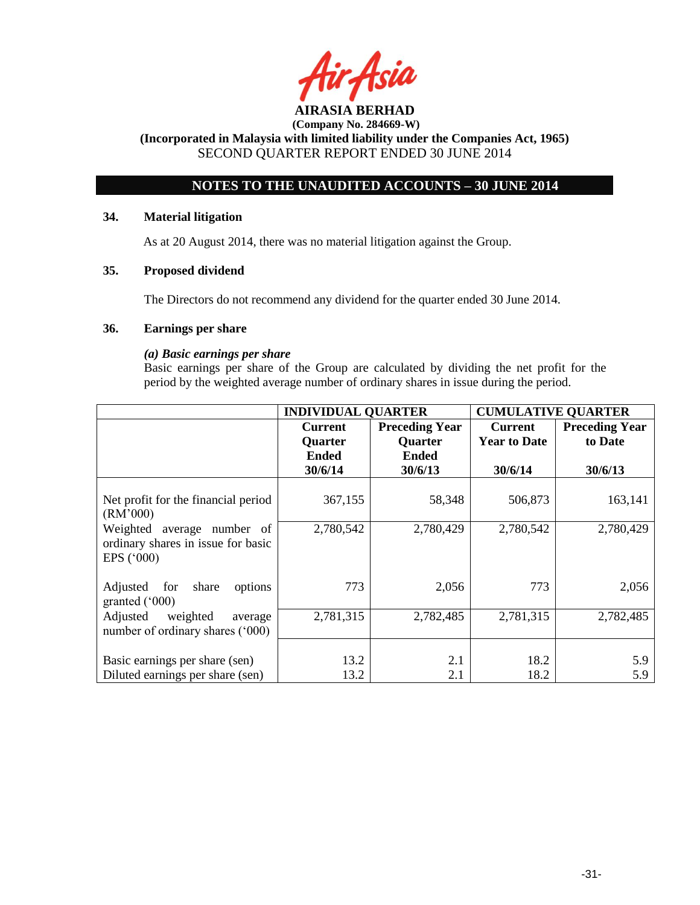

**(Company No. 284669-W) (Incorporated in Malaysia with limited liability under the Companies Act, 1965)**

SECOND QUARTER REPORT ENDED 30 JUNE 2014

# **NOTES TO THE UNAUDITED ACCOUNTS – 30 JUNE 2014**

## **34. Material litigation**

As at 20 August 2014, there was no material litigation against the Group.

## **35. Proposed dividend**

The Directors do not recommend any dividend for the quarter ended 30 June 2014.

## **36. Earnings per share**

## *(a) Basic earnings per share*

Basic earnings per share of the Group are calculated by dividing the net profit for the period by the weighted average number of ordinary shares in issue during the period.

|                                                                                         | <b>INDIVIDUAL QUARTER</b>      |                                | <b>CUMULATIVE QUARTER</b>             |                       |
|-----------------------------------------------------------------------------------------|--------------------------------|--------------------------------|---------------------------------------|-----------------------|
|                                                                                         | <b>Current</b>                 | <b>Preceding Year</b>          | <b>Current</b><br><b>Year to Date</b> | <b>Preceding Year</b> |
|                                                                                         | <b>Quarter</b><br><b>Ended</b> | <b>Quarter</b><br><b>Ended</b> |                                       | to Date               |
|                                                                                         | 30/6/14                        | 30/6/13                        | 30/6/14                               | 30/6/13               |
| Net profit for the financial period<br>(RM'000)                                         | 367,155                        | 58,348                         | 506,873                               | 163,141               |
| Weighted average number of<br>ordinary shares in issue for basic<br>EPS $(^{\circ}000)$ | 2,780,542                      | 2,780,429                      | 2,780,542                             | 2,780,429             |
| Adjusted for<br>share<br>options<br>granted $(000)$                                     | 773                            | 2,056                          | 773                                   | 2,056                 |
| Adjusted<br>weighted<br>average<br>number of ordinary shares ('000)                     | 2,781,315                      | 2,782,485                      | 2,781,315                             | 2,782,485             |
| Basic earnings per share (sen)<br>Diluted earnings per share (sen)                      | 13.2<br>13.2                   | 2.1<br>2.1                     | 18.2<br>18.2                          | 5.9<br>5.9            |